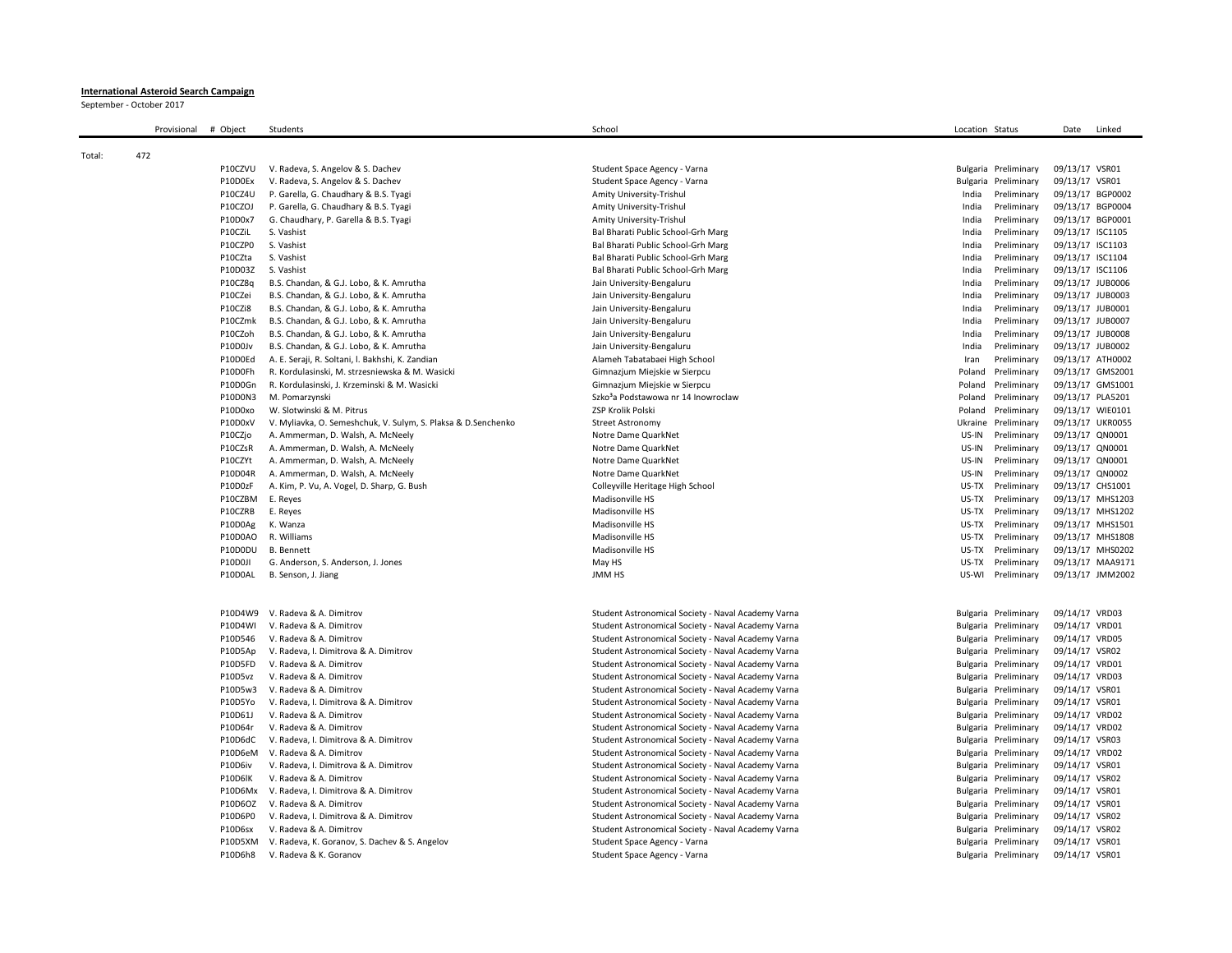## **International Asteroid Search Campaign**

September - October 2017

|        | Provisional | # Object           | Students                                                       | School                                             | Location Status |                            | Date             | Linked                               |
|--------|-------------|--------------------|----------------------------------------------------------------|----------------------------------------------------|-----------------|----------------------------|------------------|--------------------------------------|
| Total: | 472         |                    |                                                                |                                                    |                 |                            |                  |                                      |
|        |             | P10CZVU            | V. Radeva, S. Angelov & S. Dachev                              | Student Space Agency - Varna                       |                 | Bulgaria Preliminary       | 09/13/17 VSR01   |                                      |
|        |             | P10D0Ex            | V. Radeva, S. Angelov & S. Dachev                              | Student Space Agency - Varna                       |                 | Bulgaria Preliminary       | 09/13/17 VSR01   |                                      |
|        |             | P10CZ4U            | P. Garella, G. Chaudhary & B.S. Tyagi                          | Amity University-Trishul                           | India           | Preliminary                |                  | 09/13/17 BGP0002                     |
|        |             | P10CZOJ            | P. Garella, G. Chaudhary & B.S. Tyagi                          | Amity University-Trishul                           | India           | Preliminary                |                  | 09/13/17 BGP0004                     |
|        |             | P10D0x7            | G. Chaudhary, P. Garella & B.S. Tyagi                          | Amity University-Trishul                           | India           | Preliminary                | 09/13/17 BGP0001 |                                      |
|        |             | P10CZiL            | S. Vashist                                                     | Bal Bharati Public School-Grh Marg                 | India           | Preliminary                | 09/13/17 ISC1105 |                                      |
|        |             | P10CZP0            | S. Vashist                                                     | Bal Bharati Public School-Grh Marg                 | India           | Preliminary                | 09/13/17 ISC1103 |                                      |
|        |             | P10CZta            | S. Vashist                                                     | Bal Bharati Public School-Grh Marg                 | India           | Preliminary                | 09/13/17 ISC1104 |                                      |
|        |             | P10D03Z            | S. Vashist                                                     | Bal Bharati Public School-Grh Marg                 | India           | Preliminary                | 09/13/17 ISC1106 |                                      |
|        |             | P10CZ8q            | B.S. Chandan, & G.J. Lobo, & K. Amrutha                        | Jain University-Bengaluru                          | India           | Preliminary                | 09/13/17 JUB0006 |                                      |
|        |             | P10CZei            | B.S. Chandan, & G.J. Lobo, & K. Amrutha                        | Jain University-Bengaluru                          | India           | Preliminary                | 09/13/17 JUB0003 |                                      |
|        |             | P10CZi8            | B.S. Chandan, & G.J. Lobo, & K. Amrutha                        | Jain University-Bengaluru                          | India           | Preliminary                | 09/13/17 JUB0001 |                                      |
|        |             | P10CZmk            | B.S. Chandan, & G.J. Lobo, & K. Amrutha                        | Jain University-Bengaluru                          | India           | Preliminary                | 09/13/17 JUB0007 |                                      |
|        |             | P10CZoh            | B.S. Chandan, & G.J. Lobo, & K. Amrutha                        | Jain University-Bengaluru                          | India           | Preliminary                | 09/13/17 JUB0008 |                                      |
|        |             | P10D0Jv            | B.S. Chandan, & G.J. Lobo, & K. Amrutha                        | Jain University-Bengaluru                          | India           | Preliminary                | 09/13/17 JUB0002 |                                      |
|        |             | P10D0Ed            | A. E. Seraji, R. Soltani, I. Bakhshi, K. Zandian               | Alameh Tabatabaei High School                      | Iran            | Preliminary                |                  | 09/13/17 ATH0002                     |
|        |             | P10D0Fh            | R. Kordulasinski, M. strzesniewska & M. Wasicki                | Gimnazjum Miejskie w Sierpcu                       |                 | Poland Preliminary         |                  | 09/13/17 GMS2001                     |
|        |             | P10D0Gn            | R. Kordulasinski, J. Krzeminski & M. Wasicki                   | Gimnazjum Miejskie w Sierpcu                       | Poland          | Preliminary                |                  | 09/13/17 GMS1001                     |
|        |             | P10D0N3            | M. Pomarzynski                                                 | Szko <sup>3</sup> a Podstawowa nr 14 Inowroclaw    | Poland          | Preliminary                | 09/13/17 PLA5201 |                                      |
|        |             | P10D0xo            | W. Slotwinski & M. Pitrus                                      | ZSP Krolik Polski                                  | Poland          | Preliminary                |                  | 09/13/17 WIE0101                     |
|        |             | P10D0xV            | V. Myliavka, O. Semeshchuk, V. Sulym, S. Plaksa & D. Senchenko | <b>Street Astronomy</b>                            | Ukraine         | Preliminary                |                  | 09/13/17 UKR0055                     |
|        |             | P10CZjo            | A. Ammerman, D. Walsh, A. McNeely                              | Notre Dame QuarkNet                                | US-IN           | Preliminary                | 09/13/17 QN0001  |                                      |
|        |             | P10CZsR            | A. Ammerman, D. Walsh, A. McNeely                              | Notre Dame QuarkNet                                | US-IN           | Preliminary                | 09/13/17 QN0001  |                                      |
|        |             | P10CZYt            | A. Ammerman, D. Walsh, A. McNeely                              | Notre Dame QuarkNet                                | US-IN           | Preliminary                | 09/13/17 QN0001  |                                      |
|        |             | P10D04R            | A. Ammerman, D. Walsh, A. McNeely                              | Notre Dame QuarkNet                                | US-IN           | Preliminary                | 09/13/17 QN0002  |                                      |
|        |             | P10D0zF            | A. Kim, P. Vu, A. Vogel, D. Sharp, G. Bush                     | Colleyville Heritage High School                   | US-TX           | Preliminary                | 09/13/17 CHS1001 |                                      |
|        |             | P10CZBM<br>P10CZRB | E. Reyes<br>E. Reyes                                           | Madisonville HS<br>Madisonville HS                 | US-TX<br>US-TX  | Preliminary<br>Preliminary |                  | 09/13/17 MHS1203<br>09/13/17 MHS1202 |
|        |             | P10D0Ag            | K. Wanza                                                       | Madisonville HS                                    | US-TX           | Preliminary                |                  | 09/13/17 MHS1501                     |
|        |             | P10D0AO            | R. Williams                                                    | Madisonville HS                                    | US-TX           | Preliminary                |                  | 09/13/17 MHS1808                     |
|        |             | P10D0DU            | <b>B.</b> Bennett                                              | Madisonville HS                                    | US-TX           | Preliminary                |                  | 09/13/17 MHS0202                     |
|        |             | P10D0JI            | G. Anderson, S. Anderson, J. Jones                             | May HS                                             | US-TX           | Preliminary                |                  | 09/13/17 MAA9171                     |
|        |             | P10D0AL            | B. Senson, J. Jiang                                            | <b>JMM HS</b>                                      | US-WI           | Preliminary                |                  | 09/13/17 JMM2002                     |
|        |             |                    |                                                                |                                                    |                 |                            |                  |                                      |
|        |             |                    | P10D4W9 V. Radeva & A. Dimitrov                                | Student Astronomical Society - Naval Academy Varna |                 | Bulgaria Preliminary       | 09/14/17 VRD03   |                                      |
|        |             | P10D4WI            | V. Radeva & A. Dimitrov                                        | Student Astronomical Society - Naval Academy Varna |                 | Bulgaria Preliminary       | 09/14/17 VRD01   |                                      |
|        |             | P10D546            | V. Radeva & A. Dimitrov                                        | Student Astronomical Society - Naval Academy Varna |                 | Bulgaria Preliminary       | 09/14/17 VRD05   |                                      |
|        |             | P10D5Ap            | V. Radeva, I. Dimitrova & A. Dimitrov                          | Student Astronomical Society - Naval Academy Varna |                 | Bulgaria Preliminary       | 09/14/17 VSR02   |                                      |
|        |             | P10D5FD            | V. Radeva & A. Dimitrov                                        | Student Astronomical Society - Naval Academy Varna |                 | Bulgaria Preliminary       | 09/14/17 VRD01   |                                      |
|        |             | P10D5vz            | V. Radeva & A. Dimitrov                                        | Student Astronomical Society - Naval Academy Varna |                 | Bulgaria Preliminary       | 09/14/17 VRD03   |                                      |
|        |             | P10D5w3            | V. Radeva & A. Dimitrov                                        | Student Astronomical Society - Naval Academy Varna |                 | Bulgaria Preliminary       | 09/14/17 VSR01   |                                      |
|        |             | P10D5Yo            | V. Radeva, I. Dimitrova & A. Dimitrov                          | Student Astronomical Society - Naval Academy Varna |                 | Bulgaria Preliminary       | 09/14/17 VSR01   |                                      |
|        |             | P10D61J            | V. Radeva & A. Dimitrov                                        | Student Astronomical Society - Naval Academy Varna |                 | Bulgaria Preliminary       | 09/14/17 VRD02   |                                      |
|        |             | P10D64r            | V. Radeva & A. Dimitrov                                        | Student Astronomical Society - Naval Academy Varna |                 | Bulgaria Preliminary       | 09/14/17 VRD02   |                                      |
|        |             | P10D6dC            | V. Radeva, I. Dimitrova & A. Dimitrov                          | Student Astronomical Society - Naval Academy Varna |                 | Bulgaria Preliminary       | 09/14/17 VSR03   |                                      |
|        |             | P10D6eM            | V. Radeva & A. Dimitrov                                        | Student Astronomical Society - Naval Academy Varna |                 | Bulgaria Preliminary       | 09/14/17 VRD02   |                                      |
|        |             | P10D6iv            | V. Radeva, I. Dimitrova & A. Dimitrov                          | Student Astronomical Society - Naval Academy Varna |                 | Bulgaria Preliminary       | 09/14/17 VSR01   |                                      |
|        |             | P10D6lK            | V. Radeva & A. Dimitrov                                        | Student Astronomical Society - Naval Academy Varna |                 | Bulgaria Preliminary       | 09/14/17 VSR02   |                                      |
|        |             | P10D6Mx            | V. Radeva, I. Dimitrova & A. Dimitrov                          | Student Astronomical Society - Naval Academy Varna |                 | Bulgaria Preliminary       | 09/14/17 VSR01   |                                      |
|        |             | P10D6OZ            | V. Radeva & A. Dimitrov                                        | Student Astronomical Society - Naval Academy Varna |                 | Bulgaria Preliminary       | 09/14/17 VSR01   |                                      |
|        |             | P10D6P0            | V. Radeva, I. Dimitrova & A. Dimitrov                          | Student Astronomical Society - Naval Academy Varna |                 | Bulgaria Preliminary       | 09/14/17 VSR02   |                                      |
|        |             | P10D6sx            | V. Radeva & A. Dimitrov                                        | Student Astronomical Society - Naval Academy Varna |                 | Bulgaria Preliminary       | 09/14/17 VSR02   |                                      |
|        |             |                    | P10D5XM V. Radeva, K. Goranov, S. Dachev & S. Angelov          | Student Space Agency - Varna                       |                 | Bulgaria Preliminary       | 09/14/17 VSR01   |                                      |
|        |             | P10D6h8            | V. Radeva & K. Goranov                                         | Student Space Agency - Varna                       |                 | Bulgaria Preliminary       | 09/14/17 VSR01   |                                      |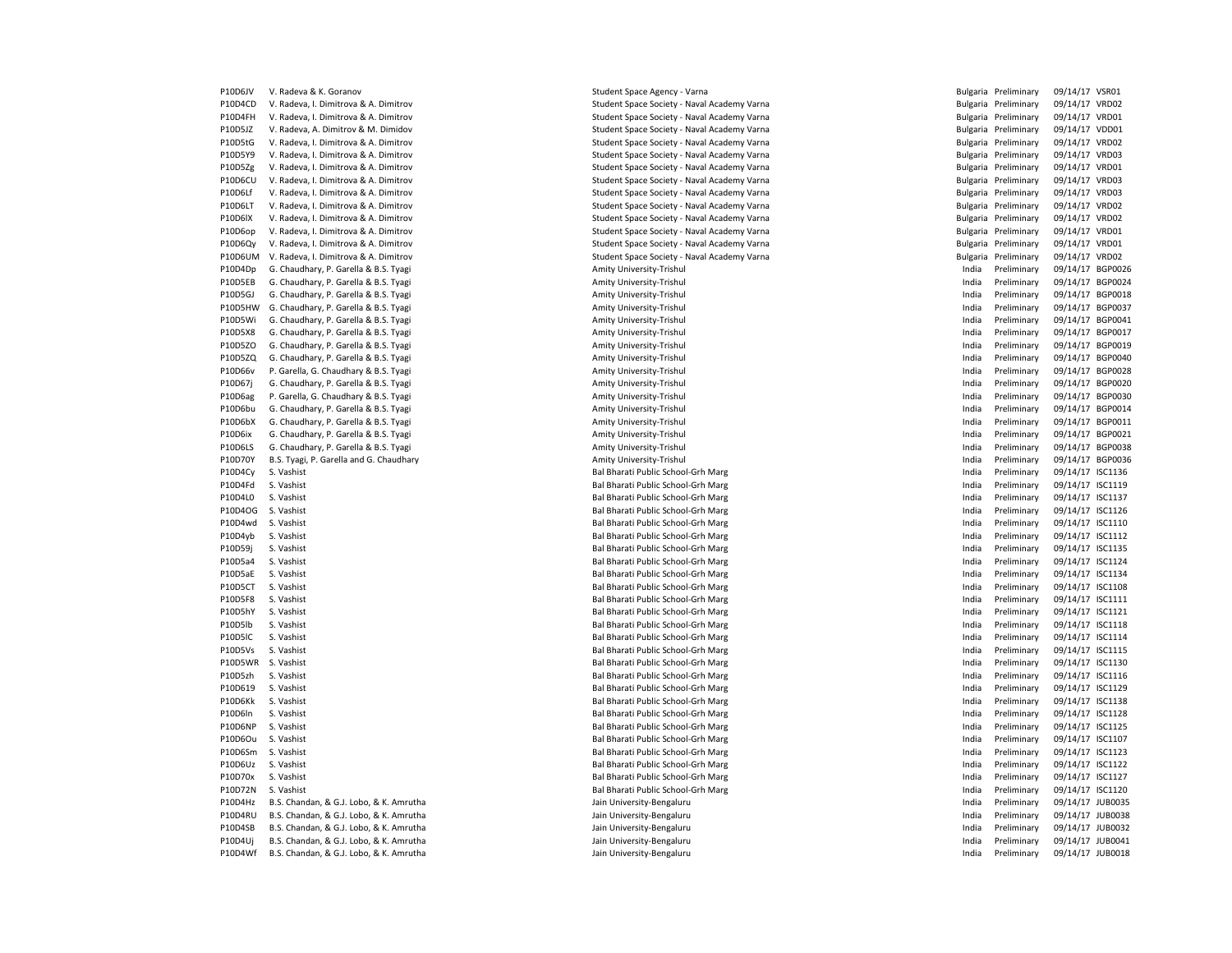| P10D6JV | V. Radeva & K. Goranov                  | Student Space Agency - Varna                         |       | Bulgaria Preliminary | 09/14/17 VSR01   |  |
|---------|-----------------------------------------|------------------------------------------------------|-------|----------------------|------------------|--|
| P10D4CD | V. Radeva, I. Dimitrova & A. Dimitrov   | Student Space Society - Naval Academy Varna          |       | Bulgaria Preliminary | 09/14/17 VRD02   |  |
| P10D4FH | V. Radeva, I. Dimitrova & A. Dimitrov   | Student Space Society - Naval Academy Varna          |       | Bulgaria Preliminary | 09/14/17 VRD01   |  |
| P10D5JZ | V. Radeva, A. Dimitrov & M. Dimidov     | Student Space Society - Naval Academy Varna          |       | Bulgaria Preliminary | 09/14/17 VDD01   |  |
| P10D5tG | V. Radeva, I. Dimitrova & A. Dimitrov   | Student Space Society - Naval Academy Varna          |       | Bulgaria Preliminary | 09/14/17 VRD02   |  |
| P10D5Y9 | V. Radeva, I. Dimitrova & A. Dimitrov   | Student Space Society - Naval Academy Varna          |       | Bulgaria Preliminary | 09/14/17 VRD03   |  |
| P10D5Zg | V. Radeva, I. Dimitrova & A. Dimitrov   | Student Space Society - Naval Academy Varna          |       | Bulgaria Preliminary | 09/14/17 VRD01   |  |
| P10D6CU | V. Radeva, I. Dimitrova & A. Dimitrov   | Student Space Society - Naval Academy Varna          |       | Bulgaria Preliminary | 09/14/17 VRD03   |  |
| P10D6Lf | V. Radeva, I. Dimitrova & A. Dimitrov   | Student Space Society - Naval Academy Varna          |       | Bulgaria Preliminary | 09/14/17 VRD03   |  |
| P10D6LT | V. Radeva, I. Dimitrova & A. Dimitrov   | Student Space Society - Naval Academy Varna          |       | Bulgaria Preliminary | 09/14/17 VRD02   |  |
| P10D6lX | V. Radeva, I. Dimitrova & A. Dimitrov   | Student Space Society - Naval Academy Varna          |       | Bulgaria Preliminary | 09/14/17 VRD02   |  |
| P10D6op | V. Radeva, I. Dimitrova & A. Dimitrov   | Student Space Society - Naval Academy Varna          |       | Bulgaria Preliminary | 09/14/17 VRD01   |  |
| P10D6Qv | V. Radeva, I. Dimitrova & A. Dimitrov   | Student Space Society - Naval Academy Varna          |       | Bulgaria Preliminary | 09/14/17 VRD01   |  |
| P10D6UM | V. Radeva, I. Dimitrova & A. Dimitrov   | Student Space Society - Naval Academy Varna          |       | Bulgaria Preliminary | 09/14/17 VRD02   |  |
| P10D4Dp | G. Chaudhary, P. Garella & B.S. Tyagi   | Amity University-Trishul                             | India | Preliminary          | 09/14/17 BGP0026 |  |
| P10D5EB | G. Chaudhary, P. Garella & B.S. Tyagi   | Amity University-Trishul                             | India | Preliminary          | 09/14/17 BGP0024 |  |
| P10D5GJ | G. Chaudhary, P. Garella & B.S. Tyagi   | Amity University-Trishul                             | India | Preliminary          | 09/14/17 BGP0018 |  |
| P10D5HW | G. Chaudhary, P. Garella & B.S. Tyagi   | Amity University-Trishul                             | India | Preliminary          | 09/14/17 BGP0037 |  |
| P10D5Wi | G. Chaudhary, P. Garella & B.S. Tyagi   | Amity University-Trishul                             | India | Preliminary          | 09/14/17 BGP0041 |  |
| P10D5X8 | G. Chaudhary, P. Garella & B.S. Tyagi   | Amity University-Trishul                             | India | Preliminary          | 09/14/17 BGP0017 |  |
| P10D5ZO | G. Chaudhary, P. Garella & B.S. Tyagi   |                                                      | India | Preliminary          | 09/14/17 BGP0019 |  |
| P10D5ZQ | G. Chaudhary, P. Garella & B.S. Tyagi   | Amity University-Trishul<br>Amity University-Trishul |       | Preliminary          | 09/14/17 BGP0040 |  |
|         |                                         |                                                      | India |                      |                  |  |
| P10D66v | P. Garella, G. Chaudhary & B.S. Tyagi   | Amity University-Trishul                             | India | Preliminary          | 09/14/17 BGP0028 |  |
| P10D67j | G. Chaudhary, P. Garella & B.S. Tyagi   | Amity University-Trishul                             | India | Preliminary          | 09/14/17 BGP0020 |  |
| P10D6ag | P. Garella, G. Chaudhary & B.S. Tyagi   | Amity University-Trishul                             | India | Preliminary          | 09/14/17 BGP0030 |  |
| P10D6bu | G. Chaudhary, P. Garella & B.S. Tyagi   | Amity University-Trishul                             | India | Preliminary          | 09/14/17 BGP0014 |  |
| P10D6bX | G. Chaudhary, P. Garella & B.S. Tyagi   | Amity University-Trishul                             | India | Preliminary          | 09/14/17 BGP0011 |  |
| P10D6ix | G. Chaudhary, P. Garella & B.S. Tyagi   | Amity University-Trishul                             | India | Preliminary          | 09/14/17 BGP0021 |  |
| P10D6LS | G. Chaudhary, P. Garella & B.S. Tyagi   | Amity University-Trishul                             | India | Preliminary          | 09/14/17 BGP0038 |  |
| P10D70Y | B.S. Tyagi, P. Garella and G. Chaudhary | Amity University-Trishul                             | India | Preliminary          | 09/14/17 BGP0036 |  |
| P10D4Cy | S. Vashist                              | Bal Bharati Public School-Grh Marg                   | India | Preliminary          | 09/14/17 ISC1136 |  |
| P10D4Fd | S. Vashist                              | Bal Bharati Public School-Grh Marg                   | India | Preliminary          | 09/14/17 ISC1119 |  |
| P10D4L0 | S. Vashist                              | Bal Bharati Public School-Grh Marg                   | India | Preliminary          | 09/14/17 ISC1137 |  |
| P10D4OG | S. Vashist                              | Bal Bharati Public School-Grh Marg                   | India | Preliminary          | 09/14/17 ISC1126 |  |
| P10D4wd | S. Vashist                              | Bal Bharati Public School-Grh Marg                   | India | Preliminary          | 09/14/17 ISC1110 |  |
| P10D4yb | S. Vashist                              | Bal Bharati Public School-Grh Marg                   | India | Preliminary          | 09/14/17 ISC1112 |  |
| P10D59j | S. Vashist                              | Bal Bharati Public School-Grh Marg                   | India | Preliminary          | 09/14/17 ISC1135 |  |
| P10D5a4 | S. Vashist                              | Bal Bharati Public School-Grh Marg                   | India | Preliminary          | 09/14/17 ISC1124 |  |
| P10D5aE | S. Vashist                              | Bal Bharati Public School-Grh Marg                   | India | Preliminary          | 09/14/17 ISC1134 |  |
| P10D5CT | S. Vashist                              | Bal Bharati Public School-Grh Marg                   | India | Preliminary          | 09/14/17 ISC1108 |  |
| P10D5F8 | S. Vashist                              | Bal Bharati Public School-Grh Marg                   | India | Preliminary          | 09/14/17 ISC1111 |  |
| P10D5hY | S. Vashist                              | Bal Bharati Public School-Grh Marg                   | India | Preliminary          | 09/14/17 ISC1121 |  |
| P10D5lb | S. Vashist                              | Bal Bharati Public School-Grh Marg                   | India | Preliminary          | 09/14/17 ISC1118 |  |
| P10D5IC | S. Vashist                              | Bal Bharati Public School-Grh Marg                   | India | Preliminary          | 09/14/17 ISC1114 |  |
| P10D5Vs | S. Vashist                              | Bal Bharati Public School-Grh Marg                   | India | Preliminary          | 09/14/17 ISC1115 |  |
| P10D5WR | S. Vashist                              | Bal Bharati Public School-Grh Marg                   | India | Preliminary          | 09/14/17 ISC1130 |  |
| P10D5zh | S. Vashist                              | Bal Bharati Public School-Grh Marg                   | India | Preliminary          | 09/14/17 ISC1116 |  |
| P10D619 | S. Vashist                              | Bal Bharati Public School-Grh Marg                   | India | Preliminary          | 09/14/17 ISC1129 |  |
| P10D6Kk | S. Vashist                              | Bal Bharati Public School-Grh Marg                   | India | Preliminary          | 09/14/17 ISC1138 |  |
| P10D6In | S. Vashist                              | Bal Bharati Public School-Grh Marg                   | India | Preliminary          | 09/14/17 ISC1128 |  |
| P10D6NP | S. Vashist                              | Bal Bharati Public School-Grh Marg                   | India | Preliminary          | 09/14/17 ISC1125 |  |
| P10D6Ou | S. Vashist                              | Bal Bharati Public School-Grh Marg                   | India | Preliminary          | 09/14/17 ISC1107 |  |
| P10D6Sm | S. Vashist                              | Bal Bharati Public School-Grh Marg                   | India | Preliminary          | 09/14/17 ISC1123 |  |
| P10D6Uz | S. Vashist                              | Bal Bharati Public School-Grh Marg                   | India | Preliminary          | 09/14/17 ISC1122 |  |
| P10D70x | S. Vashist                              | Bal Bharati Public School-Grh Marg                   | India | Preliminary          | 09/14/17 ISC1127 |  |
| P10D72N | S. Vashist                              | Bal Bharati Public School-Grh Marg                   | India | Preliminary          | 09/14/17 ISC1120 |  |
| P10D4Hz | B.S. Chandan, & G.J. Lobo, & K. Amrutha | Jain University-Bengaluru                            | India | Preliminary          | 09/14/17 JUB0035 |  |
| P10D4RU | B.S. Chandan, & G.J. Lobo, & K. Amrutha | Jain University-Bengaluru                            | India | Preliminary          | 09/14/17 JUB0038 |  |
| P10D4SB | B.S. Chandan, & G.J. Lobo, & K. Amrutha | Jain University-Bengaluru                            | India | Preliminary          | 09/14/17 JUB0032 |  |
| P10D4Uj | B.S. Chandan, & G.J. Lobo, & K. Amrutha | Jain University-Bengaluru                            | India | Preliminary          | 09/14/17 JUB0041 |  |
| P10D4Wf | B.S. Chandan, & G.J. Lobo, & K. Amrutha | Jain University-Bengaluru                            | India | Preliminary          | 09/14/17 JUB0018 |  |

| Student Space Agency - Varna            |
|-----------------------------------------|
| Student Space Society - Naval Academy \ |
| Student Space Society - Naval Academy \ |
| Student Space Society - Naval Academy \ |
| Student Space Society - Naval Academy \ |
| Student Space Society - Naval Academy \ |
| Student Space Society - Naval Academy \ |
| Student Space Society - Naval Academy \ |
| Student Space Society - Naval Academy \ |
|                                         |
| Student Space Society - Naval Academy \ |
| Student Space Society - Naval Academy \ |
| Student Space Society - Naval Academy \ |
| Student Space Society - Naval Academy \ |
| Student Space Society - Naval Academy \ |
| Amity University-Trishul                |
| Amity University-Trishul                |
| Amity University-Trishul                |
| Amity University-Trishul                |
| Amity University-Trishul                |
| Amity University-Trishul                |
| Amity University-Trishul                |
| Amity University-Trishul                |
| Amity University-Trishul                |
| Amity University-Trishul                |
| Amity University-Trishul                |
| Amity University-Trishul                |
| Amity University-Trishul                |
| Amity University-Trishul                |
| Amity University-Trishul                |
| Amity University-Trishul                |
| Bal Bharati Public School-Grh Marg      |
| Bal Bharati Public School-Grh Marg      |
|                                         |
| Bal Bharati Public School-Grh Marg      |
| Bal Bharati Public School-Grh Marg      |
| Bal Bharati Public School-Grh Marg      |
| Bal Bharati Public School-Grh Marg      |
| Bal Bharati Public School-Grh Marg      |
| Bal Bharati Public School-Grh Marg      |
| Bal Bharati Public School-Grh Marg      |
| Bal Bharati Public School-Grh Marg      |
| Bal Bharati Public School-Grh Marg      |
| Bal Bharati Public School-Grh Marg      |
| Bal Bharati Public School-Grh Marg      |
| Bal Bharati Public School-Grh Marg      |
| Bal Bharati Public School-Grh Marg      |
| Bal Bharati Public School-Grh Marg      |
| Bal Bharati Public School-Grh Marg      |
| Bal Bharati Public School-Grh Marg      |
| Bal Bharati Public School-Grh Marg      |
| Bal Bharati Public School-Grh Marg      |
| Bal Bharati Public School-Grh Marg      |
| Bal Bharati Public School-Grh Marg      |
| Bal Bharati Public School-Grh Marg      |
|                                         |
| Bal Bharati Public School-Grh Marg      |
| Bal Bharati Public School-Grh Marg      |
| Bal Bharati Public School-Grh Marg      |
| Jain University-Bengaluru               |
| Jain University-Bengaluru               |
| Jain University-Bengaluru               |
| Jain University-Bengaluru               |
| Jain University-Bengaluru               |
|                                         |

| P10D6JV            | V. Radeva & K. Goranov                                                         | Student Space Agency - Varna                         |       | Bulgaria Preliminary       | 09/14/17 VSR01   |  |
|--------------------|--------------------------------------------------------------------------------|------------------------------------------------------|-------|----------------------------|------------------|--|
| P10D4CD            | V. Radeva, I. Dimitrova & A. Dimitrov                                          | Student Space Society - Naval Academy Varna          |       | Bulgaria Preliminary       | 09/14/17 VRD02   |  |
| P10D4FH            | V. Radeva, I. Dimitrova & A. Dimitrov                                          | Student Space Society - Naval Academy Varna          |       | Bulgaria Preliminary       | 09/14/17 VRD01   |  |
| P10D5JZ            | V. Radeva, A. Dimitrov & M. Dimidov                                            | Student Space Society - Naval Academy Varna          |       | Bulgaria Preliminary       | 09/14/17 VDD01   |  |
| P10D5tG            | V. Radeva, I. Dimitrova & A. Dimitrov                                          | Student Space Society - Naval Academy Varna          |       | Bulgaria Preliminary       | 09/14/17 VRD02   |  |
| P10D5Y9            | V. Radeva, I. Dimitrova & A. Dimitrov                                          | Student Space Society - Naval Academy Varna          |       | Bulgaria Preliminary       | 09/14/17 VRD03   |  |
| P10D5Zg            | V. Radeva, I. Dimitrova & A. Dimitrov                                          | Student Space Society - Naval Academy Varna          |       | Bulgaria Preliminary       | 09/14/17 VRD01   |  |
| P10D6CU            | V. Radeva, I. Dimitrova & A. Dimitrov                                          | Student Space Society - Naval Academy Varna          |       | Bulgaria Preliminary       | 09/14/17 VRD03   |  |
| P10D6Lf            | V. Radeva, I. Dimitrova & A. Dimitrov                                          | Student Space Society - Naval Academy Varna          |       | Bulgaria Preliminary       | 09/14/17 VRD03   |  |
| P10D6LT            | V. Radeva, I. Dimitrova & A. Dimitrov                                          | Student Space Society - Naval Academy Varna          |       | Bulgaria Preliminary       | 09/14/17 VRD02   |  |
| P10D6lX            | V. Radeva, I. Dimitrova & A. Dimitrov                                          | Student Space Society - Naval Academy Varna          |       | Bulgaria Preliminary       | 09/14/17 VRD02   |  |
| P10D6op            | V. Radeva, I. Dimitrova & A. Dimitrov                                          | Student Space Society - Naval Academy Varna          |       | Bulgaria Preliminary       | 09/14/17 VRD01   |  |
| P10D6Qy            | V. Radeva, I. Dimitrova & A. Dimitrov                                          | Student Space Society - Naval Academy Varna          |       | Bulgaria Preliminary       | 09/14/17 VRD01   |  |
| P10D6UM            | V. Radeva, I. Dimitrova & A. Dimitrov                                          | Student Space Society - Naval Academy Varna          |       | Bulgaria Preliminary       | 09/14/17 VRD02   |  |
| P10D4Dp            | G. Chaudhary, P. Garella & B.S. Tyagi                                          | Amity University-Trishul                             | India | Preliminary                | 09/14/17 BGP0026 |  |
| P10D5EB            | G. Chaudhary, P. Garella & B.S. Tyagi                                          | Amity University-Trishul                             | India | Preliminary                | 09/14/17 BGP0024 |  |
|                    |                                                                                |                                                      | India |                            | 09/14/17 BGP0018 |  |
| P10D5GJ<br>P10D5HW | G. Chaudhary, P. Garella & B.S. Tyagi<br>G. Chaudhary, P. Garella & B.S. Tyagi | Amity University-Trishul<br>Amity University-Trishul | India | Preliminary<br>Preliminary | 09/14/17 BGP0037 |  |
|                    |                                                                                |                                                      |       |                            |                  |  |
| P10D5Wi            | G. Chaudhary, P. Garella & B.S. Tyagi                                          | Amity University-Trishul                             | India | Preliminary                | 09/14/17 BGP004: |  |
| P10D5X8            | G. Chaudhary, P. Garella & B.S. Tyagi                                          | Amity University-Trishul                             | India | Preliminary                | 09/14/17 BGP0017 |  |
| P10D5ZO            | G. Chaudhary, P. Garella & B.S. Tyagi                                          | Amity University-Trishul                             | India | Preliminary                | 09/14/17 BGP0019 |  |
| P10D5ZQ            | G. Chaudhary, P. Garella & B.S. Tyagi                                          | Amity University-Trishul                             | India | Preliminary                | 09/14/17 BGP0040 |  |
| P10D66v            | P. Garella, G. Chaudhary & B.S. Tyagi                                          | Amity University-Trishul                             | India | Preliminary                | 09/14/17 BGP0028 |  |
| P10D67j            | G. Chaudhary, P. Garella & B.S. Tyagi                                          | Amity University-Trishul                             | India | Preliminary                | 09/14/17 BGP0020 |  |
| P10D6ag            | P. Garella, G. Chaudhary & B.S. Tyagi                                          | Amity University-Trishul                             | India | Preliminary                | 09/14/17 BGP0030 |  |
| P10D6bu            | G. Chaudhary, P. Garella & B.S. Tyagi                                          | Amity University-Trishul                             | India | Preliminary                | 09/14/17 BGP0014 |  |
| P10D6bX            | G. Chaudhary, P. Garella & B.S. Tyagi                                          | Amity University-Trishul                             | India | Preliminary                | 09/14/17 BGP0011 |  |
| P10D6ix            | G. Chaudhary, P. Garella & B.S. Tyagi                                          | Amity University-Trishul                             | India | Preliminary                | 09/14/17 BGP0021 |  |
| P10D6LS            | G. Chaudhary, P. Garella & B.S. Tyagi                                          | Amity University-Trishul                             | India | Preliminary                | 09/14/17 BGP0038 |  |
| P10D70Y            | B.S. Tyagi, P. Garella and G. Chaudhary                                        | Amity University-Trishul                             | India | Preliminary                | 09/14/17 BGP0036 |  |
| P10D4Cy            | S. Vashist                                                                     | Bal Bharati Public School-Grh Marg                   | India | Preliminary                | 09/14/17 ISC1136 |  |
| P10D4Fd            | S. Vashist                                                                     | Bal Bharati Public School-Grh Marg                   | India | Preliminary                | 09/14/17 ISC1119 |  |
| P10D4L0            | S. Vashist                                                                     | Bal Bharati Public School-Grh Marg                   | India | Preliminary                | 09/14/17 ISC1137 |  |
| P10D4OG            | S. Vashist                                                                     | Bal Bharati Public School-Grh Marg                   | India | Preliminary                | 09/14/17 ISC1126 |  |
| P10D4wd            | S. Vashist                                                                     | Bal Bharati Public School-Grh Marg                   | India | Preliminary                | 09/14/17 ISC1110 |  |
| P10D4yb            | S. Vashist                                                                     | Bal Bharati Public School-Grh Marg                   | India | Preliminary                | 09/14/17 ISC1112 |  |
| P10D59j            | S. Vashist                                                                     | Bal Bharati Public School-Grh Marg                   | India | Preliminary                | 09/14/17 ISC1135 |  |
| P10D5a4            | S. Vashist                                                                     | Bal Bharati Public School-Grh Marg                   | India | Preliminary                | 09/14/17 ISC1124 |  |
| P10D5aE            | S. Vashist                                                                     | Bal Bharati Public School-Grh Marg                   | India | Preliminary                | 09/14/17 ISC1134 |  |
| P10D5CT            | S. Vashist                                                                     | Bal Bharati Public School-Grh Marg                   | India | Preliminary                | 09/14/17 ISC1108 |  |
| P10D5F8            | S. Vashist                                                                     | Bal Bharati Public School-Grh Marg                   | India | Preliminary                | 09/14/17 ISC1111 |  |
| P10D5hY            | S. Vashist                                                                     | Bal Bharati Public School-Grh Marg                   | India | Preliminary                | 09/14/17 ISC1121 |  |
| P10D5lb            | S. Vashist                                                                     | Bal Bharati Public School-Grh Marg                   | India | Preliminary                | 09/14/17 ISC1118 |  |
| P10D5IC            | S. Vashist                                                                     | Bal Bharati Public School-Grh Marg                   | India | Preliminary                | 09/14/17 ISC1114 |  |
| P10D5Vs            | S. Vashist                                                                     | Bal Bharati Public School-Grh Marg                   | India | Preliminary                | 09/14/17 ISC1115 |  |
| P10D5WR            | S. Vashist                                                                     | Bal Bharati Public School-Grh Marg                   | India | Preliminary                | 09/14/17 ISC1130 |  |
| P10D5zh            | S. Vashist                                                                     | Bal Bharati Public School-Grh Marg                   | India | Preliminary                | 09/14/17 ISC1116 |  |
| P10D619            | S. Vashist                                                                     | Bal Bharati Public School-Grh Marg                   | India | Preliminary                | 09/14/17 ISC1129 |  |
| P10D6Kk            | S. Vashist                                                                     | Bal Bharati Public School-Grh Marg                   | India | Preliminary                | 09/14/17 ISC1138 |  |
| P10D6In            | S. Vashist                                                                     | Bal Bharati Public School-Grh Marg                   | India | Preliminary                | 09/14/17 ISC1128 |  |
| P10D6NP            | S. Vashist                                                                     | Bal Bharati Public School-Grh Marg                   | India | Preliminary                | 09/14/17 ISC1125 |  |
| P10D6Ou            | S. Vashist                                                                     | Bal Bharati Public School-Grh Marg                   | India | Preliminary                | 09/14/17 ISC1107 |  |
| P10D6Sm            | S. Vashist                                                                     | Bal Bharati Public School-Grh Marg                   | India | Preliminary                | 09/14/17 ISC1123 |  |
| P10D6Uz            | S. Vashist                                                                     | Bal Bharati Public School-Grh Marg                   | India | Preliminary                | 09/14/17 ISC1122 |  |
|                    |                                                                                |                                                      |       |                            |                  |  |
| P10D70x            | S. Vashist                                                                     | Bal Bharati Public School-Grh Marg                   | India | Preliminary                | 09/14/17 ISC1127 |  |
| P10D72N            | S. Vashist                                                                     | Bal Bharati Public School-Grh Marg                   | India | Preliminary                | 09/14/17 ISC1120 |  |
| P10D4Hz            | B.S. Chandan, & G.J. Lobo, & K. Amrutha                                        | Jain University-Bengaluru                            | India | Preliminary                | 09/14/17 JUB0035 |  |
| P10D4RU            | B.S. Chandan, & G.J. Lobo, & K. Amrutha                                        | Jain University-Bengaluru                            | India | Preliminary                | 09/14/17 JUB0038 |  |
| P10D4SB            | B.S. Chandan, & G.J. Lobo, & K. Amrutha                                        | Jain University-Bengaluru                            | India | Preliminary                | 09/14/17 JUB0032 |  |
| P10D4Uj            | B.S. Chandan, & G.J. Lobo, & K. Amrutha                                        | Jain University-Bengaluru                            | India | Preliminary                | 09/14/17 JUB0041 |  |
| P10D4Wf            | B.S. Chandan, & G.J. Lobo, & K. Amrutha                                        | Jain University-Bengaluru                            | India | Preliminary                | 09/14/17 JUB0018 |  |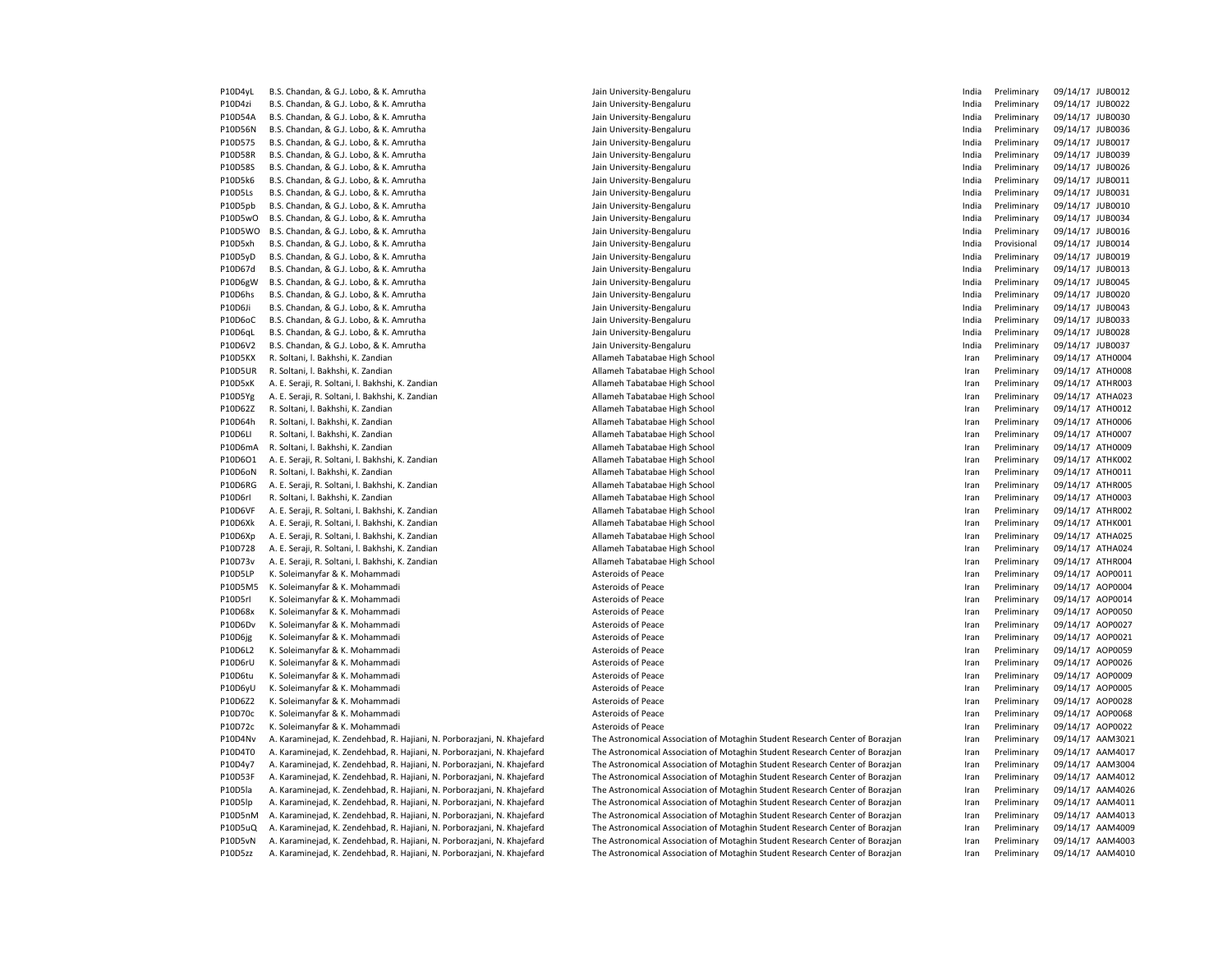P10D4yL B.S. Chandan, & G.J. Lobo, & K. Amrutha **Jain University-Bengaluru** Jain University-Bengaluru Jain University-Bengaluru India Preliminary 09/14/17 JUB0012 P10D4zi B.S. Chandan, & G.J. Lobo, & K. Amrutha **Jain University-Bengaluru** Jain University-Bengaluru India Preliminary 09/14/17 JUB0022 P10D54A B.S. Chandan, & G.J. Lobo, & K. Amrutha **Jain University-Bengaluru** Jain University-Bengaluru Jain University-Bengaluru India Preliminary 09/14/17 JUB0030 P10D56N B.S. Chandan, & G.J. Lobo, & K. Amrutha Jain University-Bengaluru Jain University-Bengaluru Jain University-Bengaluru Jain University-Bengaluru Jain Disease Jain Disease Jain Disease Jain Disease Jain Disease Jain P10D575 B.S. Chandan, & G.J. Lobo, & K. Amrutha Jain University-Bengaluru Jain University-Bengaluru Jain University-Bengaluru Jain University-Bengaluru Jain University-Bengaluru Juma Jain University-Bengaluru Juma Jain Uni P10D58R B.S. Chandan, & G.J. Lobo, & K. Amrutha Jain University-Bengaluru Jain University-Bengaluru Jain University-Bengaluru Jain University-Bengaluru Jain University-Bengaluru Jain University-Bengaluru Jain University-Be P10D58S B.S. Chandan, & G.J. Lobo, & K. Amrutha Jain University-Bengaluru Jain University-Bengaluru Jain University-Bengaluru Jain University-Bengaluru Jain University-Bengaluru Juma Jain University-Bengaluru Juma Jain Uni P10D5k6 B.S. Chandan, & G.J. Lobo, & K. Amrutha Jain University-Bengaluru Jain University-Bengaluru Jain University-Bengaluru Jain University-Bengaluru Jain University-Bengaluru Jain University-Bengaluru Jain University-Be P10D5Ls B.S. Chandan, & G.J. Lobo, & K. Amrutha **Jain University-Bengaluru** Jain University-Bengaluru Jain University-Bengaluru India Preliminary 09/14/17 JUB0031 P10D5pb B.S. Chandan, & G.J. Lobo, & K. Amrutha Jain University-Bengaluru Jain University-Bengaluru Jain University-Bengaluru Jain University-Bengaluru Jain University-Bengaluru Jain University-Bengaluru Jain University-Be P10D5wO B.S. Chandan, & G.J. Lobo, & K. Amrutha **Jain University-Bengaluru** Jain University-Bengaluru Jain University-Bengaluru India Preliminary 09/14/17 JUB0034 P10D5WO B.S. Chandan, & G.J. Lobo, & K. Amrutha Jain University-Bengaluru Jain University-Bengaluru Jain University-Bengaluru Jain University-Bengaluru Jain Diversity-Bengaluru Jain University-Bengaluru Jain University-Ben P10D5xh B.S. Chandan, & G.J. Lobo, & K. Amrutha Jain University-Bengaluru Jain University-Bengaluru Jain University-Bengaluru Jain University-Bengaluru Jain Discould a Provisional 09/14/17 JUB0014 P10D5yD B.S. Chandan, & G.J. Lobo, & K. Amrutha Jain University-Bengaluru Jain University-Bengaluru Jain University-Bengaluru Jain University-Bengaluru Jain Disease Jain Disease Jain Disease Jain Disease Jain Disease Jain P10D67d B.S. Chandan, & G.J. Lobo, & K. Amrutha Jain University-Bengaluru Jain University-Bengaluru Jain University-Bengaluru Jain University-Bengaluru Jain University-Bengaluru Juma Jain University-Bengaluru Juma Jain Uni P10D6gW B.S. Chandan, & G.J. Lobo, & K. Amrutha Jain University-Bengaluru Jain University-Bengaluru Jain University-Bengaluru Jain University-Bengaluru Jain University-Bengaluru Jain University-Bengaluru Jain University-Be P10D6hs B.S. Chandan, & G.J. Lobo, & K. Amrutha Jain University-Bengaluru Jain University-Bengaluru Jain University-Bengaluru Jain University-Bengaluru Jain University-Bengaluru Jain University-Bengaluru Jain University-Be P10D6Ji B.S. Chandan, & G.J. Lobo, & K. Amrutha Jain University-Bengaluru Jain University-Bengaluru Jain University-Bengaluru Jain University-Bengaluru Jain University-Bengaluru Jain University-Bengaluru Jain University-Be P10D6oC B.S. Chandan, & G.J. Lobo, & K. Amrutha Jain University-Bengaluru Jain University-Bengaluru Jain University-Bengaluru Jain University-Bengaluru Jain University-Bengaluru Jain University-Bengaluru Jain University-Be P10D6qL B.S. Chandan, & G.J. Lobo, & K. Amrutha Jain University-Bengaluru Jain University-Bengaluru Jain University-Bengaluru Jain University-Bengaluru Jain University-Bengaluru Jain University-Bengaluru Jain University-Be P10D6V2 B.S. Chandan, & G.J. Lobo, & K. Amrutha Jain University-Bengaluru Jain University-Bengaluru Jain University-Bengaluru Jain University-Bengaluru Jain Disease Jain Disease Jain Disease Jain Disease Jain Disease Jain P10D5KX R. Soltani, I. Bakhshi, K. Zandian **Allameh Tabatabae High School** Preliminary Deltiminary 09/14/17 ATH0004 P10D5UR R. Soltani, I. Bakhshi, K. Zandian **Manufarata Allameh Tabatabae High School** Preliminary 199/14/17 ATH0008 P10D5xK A. E. Seraji, R. Soltani, I. Bakhshi, K. Zandian Massachuse High School Allameh Tabatabae High School School Iran Preliminary 09/14/17 ATHR003 P10D5Yg A. E. Seraji, R. Soltani, l. Bakhshi, K. Zandian Allameh Tabatabae High School Iran Preliminary 09/14/17 ATHA023 P10D62Z R. Soltani, I. Bakhshi, K. Zandian Martin Allameh Tabatabae High School Martin Preliminary 09/14/17 ATH0012 P10D64h R. Soltani, I. Bakhshi, K. Zandian Martian Allameh Tabatabae High School **Iran Preliminary 09/14/17 ATH0006** P10D6LI R. Soltani, I. Bakhshi, K. Zandian Martian Allameh Tabatabae High School **Iran Preliminary 09/14/17 ATH0007** P10D6mA R. Soltani, l. Bakhshi, K. Zandian Nameh Tabatabae High School Nameh Tabatabae High School Iran Preliminary 09/14/17 ATH0009 P10D6O1 A. E. Seraji, R. Soltani, I. Bakhshi, K. Zandian Massachuse High School Preliminary 19/14/17 ATHK002 Preliminary 09/14/17 ATHK002 P10D6oN R. Soltani, I. Bakhshi, K. Zandian **Allameh Tabatabae High School** Preliminary 1991-14/17 ATH0011 Preliminary 09/14/17 ATH0011 P10D6RG A. E. Seraji, R. Soltani, I. Bakhshi, K. Zandian Massachuse High School Allameh Tabatabae High School School Iran Preliminary 09/14/17 ATHR005 P10D6rI R. Soltani, l. Bakhshi, K. Zandian Allameh Tabatabae High School Iran Preliminary 09/14/17 ATH0003 P10D6VF A. E. Seraji, R. Soltani, l. Bakhshi, K. Zandian Allameh Tabatabae High School Iran Preliminary 09/14/17 ATHR002 P10D6Xk A. E. Seraji, R. Soltani, I. Bakhshi, K. Zandian Allameh Tabatabae High School Preliminary Delminary 09/14/17 ATHK001 P10D6Xp A. E. Seraji, R. Soltani, I. Bakhshi, K. Zandian Allameh Tabatabae High School **Iran Preliminary 09/14/17 ATHA025** P10D728 A. E. Seraji, R. Soltani, l. Bakhshi, K. Zandian Allameh Tabatabae High School Iran Preliminary 09/14/17 ATHA024 P10D73v A. E. Seraji, R. Soltani, I. Bakhshi, K. Zandian Massachusetti Allameh Tabatabae High School **Preliminary 1991-1991** ran Preliminary 09/14/17 ATHR004 P10D5LP K. Soleimanyfar & K. Mohammadi **Asteroids of Peace** Asteroids of Peace **In the Contract Contract Asteroids of Peace** Asteroids of Peace **Iran Preliminary 09/14/17 AOP0011** P10D5M5 K. Soleimanyfar & K. Mohammadi **Asteroids of Peace** Asteroids of Peace **In the Contract Asteroids of Peace** Asteroids of Peace **Iran Preliminary 09/14/17 AOP0004** P10D5rl K. Soleimanyfar & K. Mohammadi 
Physics and Asteroids of Peace Companion Companion Companion Companion Companion Companion Companion Companion Companion Companion Companion Companion Companion Companion Companion C P10D68x K. Soleimanyfar & K. Mohammadi 
Physics and Asteroids of Peace Companion Companion Companion Companion Companion Companion Companion Companion Companion Companion Companion Companion Companion Companion Companion C P10D6Dv K. Soleimanyfar & K. Mohammadi 
and the sole of Peace and Asteroids of Peace and Treasure and Treliminary 09/14/17 AOP0027 P10D6jg K. Soleimanyfar & K. Mohammadi **Asteroids of Peace** Asteroids of Peace **Iran Preliminary 09/14/17 AOP0021** CHC P10D6L2 K. Soleimanyfar & K. Mohammadi 
and Preliminary 09/14/17 AOP0059 P10D6rU K. Soleimanyfar & K. Mohammadi November 2002 Channel Asteroids of Peace Network and Preliminary 09/14/17 AOP0026 P10D6tu K. Soleimanyfar & K. Mohammadi **Asteroids of Peace** Asteroids of Peace **Asteroids of Peace Preliminary 19/14/17 AOP0009** P10D6yU K. Soleimanyfar & K. Mohammadi **Asteroids of Peace** Asteroids of Peace **Asteroids of Peace Preliminary 19/14/17 AOP0005** P10D6Z2 K. Soleimanyfar & K. Mohammadi **Asteroids of Peace** Asteroids of Peace **Asteroids of Peace Preliminary 19/14/17 AOP0028** P10D70c K. Soleimanyfar & K. Mohammadi 
P10D70c K. Soleimanyfar & K. Mohammadi 
Asteroids of Peace Changes and Asteroids of Peace Changes and Asteroids of Peace Changes and Asteroids of Peace Changes and Asteroids of Peace P10D72c K. Soleimanyfar & K. Mohammadi 
Physical Asteroids of Peace Channel Asteroids of Peace Channel Preliminary 09/14/17 AOP0022 P10D4Nv A. Karaminejad, K. Zendehbad, R. Hajiani, N. Porborazjani, N. Khajefard The Astronomical Association of Motaghin Student Research Center of Borazjan Iran Preliminary 09/14/17 AAM3021 P10D4T0 A. Karaminejad, K. Zendehbad, R. Hajiani, N. Porborazjani, N. Khajefard The Astronomical Association of Motaghin Student Research Center of Borazjan Iran Preliminary 09/14/17 AAM4017 P10D4v7 A. Karamineiad, K. Zendehbad, R. Haijani, N. Porboraziani, N. Khajefard The Astronomical Association of Motaghin Student Research Center of Borazian Iran Preliminary 09/14/17 AAM3004 P10D53F A. Karamineiad, K. Zendehbad, R. Haijani, N. Porboraziani, N. Khajefard The Astronomical Association of Motaghin Student Research Center of Borazian Iran Preliminary 09/14/17 AAM4012 P10D5la A. Karaminejad, K. Zendehbad, R. Hajiani, N. Porborazjani, N. Khajefard The Astronomical Association of Motaghin Student Research Center of Borazjan Iran Preliminary 09/14/17 AAM4026 P10D5lp A. Karaminejad, K. Zendehbad, R. Hajiani, N. Porborazjani, N. Khajefard The Astronomical Association of Motaghin Student Research Center of Borazjan Iran Preliminary 09/14/17 AAM4011 P10D5nM A. Karaminejad, K. Zendehbad, R. Hajiani, N. Porborazjani, N. Khajefard The Astronomical Association of Motaghin Student Research Center of Borazjan Iran Preliminary 09/14/17 AAM4013 P10D5uQ A. Karaminejad, K. Zendehbad, R. Hajiani, N. Porborazjani, N. Khajefard The Astronomical Association of Motaghin Student Research Center of Borazjan Iran Preliminary 09/14/17 AAM4009 P10D5vN A. Karaminejad, K. Zendehbad, R. Hajiani, N. Porborazjani, N. Khajefard The Astronomical Association of Motaghin Student Research Center of Borazjan Iran Preliminary 09/14/17 AAM4003 P10D5zz A. Karaminejad, K. Zendehbad, R. Hajiani, N. Porborazjani, N. Khajefard The Astronomical Association of Motaghin Student Research Center of Borazjan Iran Preliminary 09/14/17 AAM4010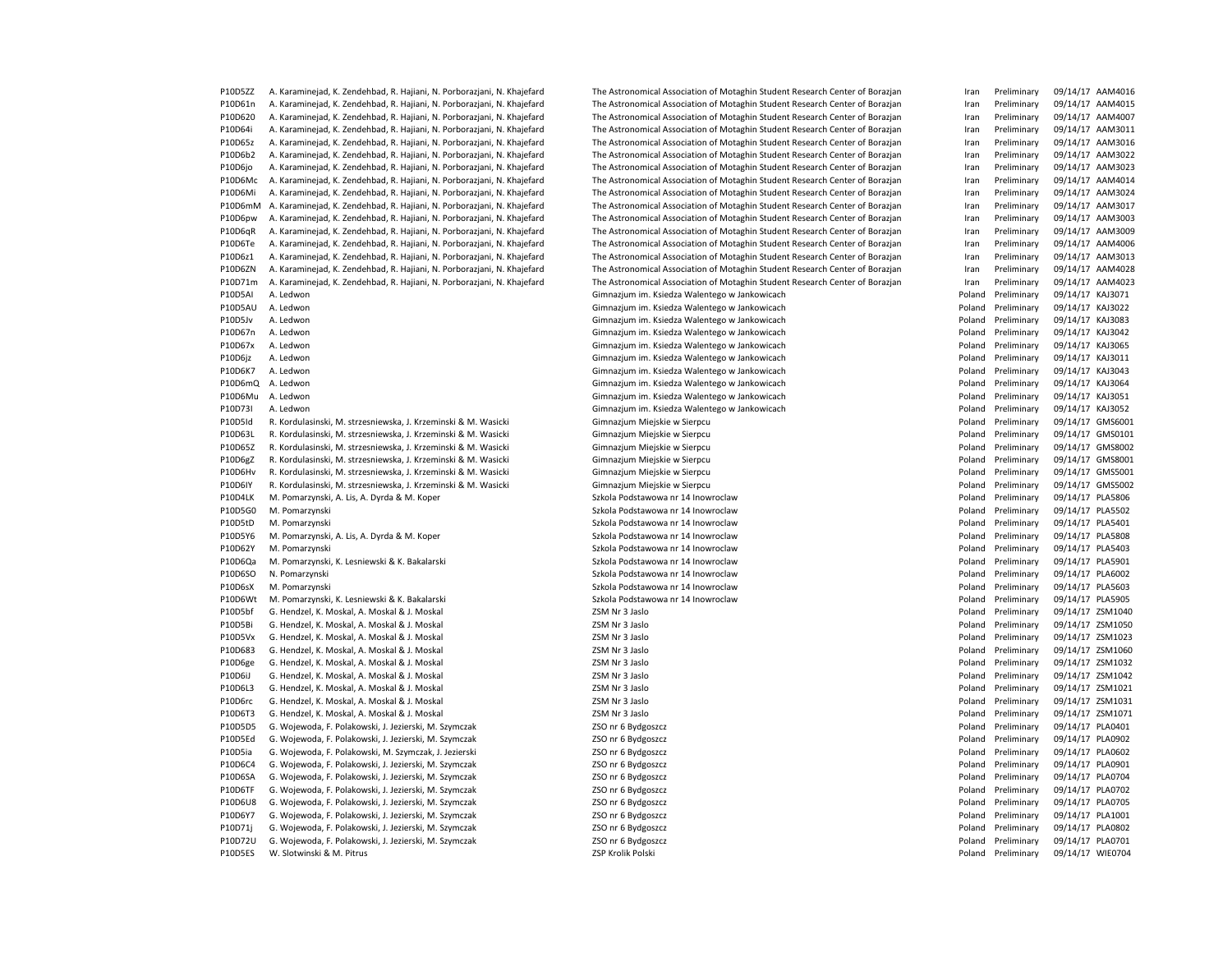P10D61n A. Karaminejad, K. Zendehbad, R. Hajiani, N. Porborazjani, N. Khajefard The Astronomical Association of Motaghin Student Research Center of Borazjan Iran Preliminary 09/14/17 AAM4015 P10D620 A. Karaminejad, K. Zendehbad, R. Hajiani, N. Porborazjani, N. Khajefard The Astronomical Association of Motaghin Student Research Center of Borazjan Iran Preliminary 09/14/17 AAM4007 P10D64i A. Karamineiad, K. Zendehbad, R. Haijani, N. Porboraziani, N. Khajefard The Astronomical Association of Motaghin Student Research Center of Borazian Iran Preliminary 09/14/17 AAM3011 P10D65z A. Karaminejad, K. Zendehbad, R. Hajiani, N. Porborazjani, N. Khajefard The Astronomical Association of Motaghin Student Research Center of Borazjan Iran Preliminary 09/14/17 AAM3016 P10D6b2 A. Karaminejad, K. Zendehbad, R. Hajiani, N. Porborazjani, N. Khajefard The Astronomical Association of Motaghin Student Research Center of Borazjan Iran Preliminary 09/14/17 AAM3022 P10D6jo A. Karaminejad, K. Zendehbad, R. Hajiani, N. Porborazjani, N. Khajefard The Astronomical Association of Motaghin Student Research Center of Borazjan Iran Preliminary 09/14/17 AAM3023 P10D6Mc A. Karaminejad, K. Zendehbad, R. Hajiani, N. Porborazjani, N. Khajefard The Astronomical Association of Motaghin Student Research Center of Borazjan Iran Preliminary 09/14/17 AAM4014 P10D6Mi A. Karaminejad, K. Zendehbad, R. Hajiani, N. Porborazjani, N. Khajefard The Astronomical Association of Motaghin Student Research Center of Borazjan Iran Preliminary 09/14/17 AAM3024 P10D6mM A. Karaminejad, K. Zendehbad, R. Hajiani, N. Porborazjani, N. Khajefard The Astronomical Association of Motaghin Student Research Center of Borazjan Iran Preliminary 09/14/17 AAM3017 P10D6pw A. Karaminejad, K. Zendehbad, R. Hajiani, N. Porborazjani, N. Khajefard The Astronomical Association of Motaghin Student Research Center of Borazjan Iran Preliminary 09/14/17 AAM3003 P10D6qR A. Karamineiad, K. Zendehbad, R. Haijani, N. Porboraziani, N. Khajefard The Astronomical Association of Motaghin Student Research Center of Borazian Iran Preliminary 09/14/17 AAM3009 P10D6Te A. Karaminejad, K. Zendehbad, R. Hajiani, N. Porborazjani, N. Khajefard The Astronomical Association of Motaghin Student Research Center of Borazjan Iran Preliminary 09/14/17 AAM4006 P10D6z1 A. Karaminejad, K. Zendehbad, R. Hajiani, N. Porborazjani, N. Khajefard The Astronomical Association of Motaghin Student Research Center of Borazjan Iran Preliminary 09/14/17 AAM3013 P10D6ZN A. Karaminejad, K. Zendehbad, R. Hajiani, N. Porborazjani, N. Khajefard The Astronomical Association of Motaghin Student Research Center of Borazjan Iran Preliminary 09/14/17 AAM4028 P10D71m A. Karaminejad, K. Zendehbad, R. Hajiani, N. Porborazjani, N. Khajefard The Astronomical Association of Motaghin Student Research Center of Borazjan Iran Preliminary 09/14/17 AAM4023 P10D5AI A. Ledwon en Santa Christian Christian Christian Christian Christian Christian Christian Christian Christian Christian Christian Christian Christian Christian Christian Christian Christian Christian Christian Chris P10D5AU A. Ledwon Gimnazjum im. Ksiedza Walentego w Jankowicach Poland Preliminary 09/14/17 KAJ3022 P10D5Jv A. Ledwon en entertainmente and the Cimnazjum im. Ksiedza Walentego w Jankowicach entertainmente and the Poland Preliminary 09/14/17 KAJ3083 P10D67n A. Ledwon Gimnazjum im. Ksiedza Walentego w Jankowicach Poland Preliminary 09/14/17 KAJ3042 P10D67x A. Ledwon en Samuel Christian Christian Christian Christian Christian Christian Christian Christian Christian Christian Christian Christian Christian Christian Christian Christian Christian Christian Christian Chri P10D6jz A. Ledwon en Samuel Christian Christian Christian Christian Christian Christian Christian Christian Christian Christian Preliminary 09/14/17 KAJ3011 P10D6K7 A. Ledwon Gimnazjum im. Ksiedza Walentego w Jankowicach Poland Preliminary 09/14/17 KAJ3043 P10D6mQ A. Ledwon entertainm and the Commazium im. Ksiedza Walentego w Jankowicach Poland Preliminary 09/14/17 KAJ3064 P10D6Mu A. Ledwon example and the state of the Simmazjum im. Ksiedza Walentego w Jankowicach Poland Preliminary 09/14/17 KAJ3051 P10D73I A. Ledwon en Samuel Charles Commazium im. Ksiedza Walentego w Jankowicach Poland Preliminary 09/14/17 KAJ3052 P10D5Id R. Kordulasinski, M. strzesniewska, J. Krzeminski & M. Wasicki Gimnazjum Miejskie w Sierpcu Poland Preliminary 09/14/17 GMS6001 P10D63L R. Kordulasinski, M. strzesniewska, J. Krzeminski & M. Wasicki Sierpcu Chimnazjum Miejskie w Sierpcu Chimnary Poland Preliminary 09/14/17 GMS0101 P10D65Z R. Kordulasinski, M. strzesniewska, J. Krzeminski & M. Wasicki Gimnazjum Miejskie w Sierpcu Poland Preliminary 09/14/17 GMS8002 P10D6gZ R. Kordulasinski, M. strzesniewska, J. Krzeminski & M. Wasicki Gimnazjum Miejskie w Sierpcu Poland Preliminary 09/14/17 GMS8001 P10D6Hv R. Kordulasinski, M. strzesniewska, J. Krzeminski & M. Wasicki Gimnazjum Miejskie w Sierpcu Poland Preliminary 09/14/17 GMS5001 P10D6IY R. Kordulasinski, M. strzesniewska, J. Krzeminski & M. Wasicki Gimnazjum Miejskie w Sierpcu Poland Preliminary 09/14/17 GMS5002 P10D4LK M. Pomarzynski, A. Lis, A. Dyrda & M. Koper Szkola Podstawowa nr 14 Inowroclaw Poland Preliminary 09/14/17 PLA5806 P10D5G0 M. Pomarzynski Szkola Podstawowa nr 14 Inowroclaw Charles Szkola Podstawowa nr 14 Inowroclaw Poland Preliminary 09/14/17 PLA5502 P10D5tD M. Pomarzynski Szkola Podstawowa nr 14 Inowroclaw Poland Preliminary 09/14/17 PLA5401 P10D5Y6 M. Pomarzynski, A. Lis, A. Dyrda & M. Koper Samuel Chronica Andreas Szkola Podstawowa nr 14 Inowroclaw Poland Preliminary 09/14/17 PLA5808 P10D62Y M. Pomarzynski ene matematic Szkola Podstawowa nr 14 Inowroclaw Poland Preliminary 09/14/17 PLA5403 P10D6Qa M. Pomarzynski. K. Lesniewski & K. Bakalarski Szkola Podstawowa nr 14 Inowroclaw Poland Preliminary 09/14/17 PLA5901 P10D6SO N. Pomarzynski ene modernich sproch sproch Szkola Podstawowa nr 14 Inowroclaw Poland Preliminary 09/14/17 PLA6002 P10D6sX M. Pomarzynski examples and the Szkola Podstawowa nr 14 Inowroclaw Chapter and Preliminary 09/14/17 PLA5603 P10D6Wt M. Pomarzynski, K. Lesniewski & K. Bakalarski Sakola Postawowa nr 14 Inowroclaw Poland Preliminary 09/14/17 PLA5905 P10D5bf G. Hendzel, K. Moskal, A. Moskal & J. Moskal Xasar and Moskal ZSM Nr 3 Jaslo Poland Preliminary 09/14/17 ZSM1040 P10D5Bi G. Hendzel, K. Moskal, A. Moskal & J. Moskal Washan ZSM Nr 3 Jaslo 25M Nr 3 Jaslo Poland Preliminary 09/14/17 ZSM1050 P10D5Vx G. Hendzel, K. Moskal, A. Moskal & J. Moskal Washan ZSM Nr 3 Jaslo 25M Nr 3 Jaslo Poland Preliminary 09/14/17 ZSM1023 P10D683 G. Hendzel, K. Moskal, A. Moskal & J. Moskal Washan ZSM Nr 3 Jaslo 25M Nr 3 Jaslo Poland Preliminary 09/14/17 ZSM1060 P10D6ge G. Hendzel, K. Moskal, A. Moskal & J. Moskal **Brand Communist Communist Communist Preliminary 09/14/17 ZSM1032** P10D6iJ G. Hendzel, K. Moskal, A. Moskal & J. Moskal November 25M Nr 3 Jaslo Poland Preliminary 09/14/17 ZSM1042 P10D6L3 G. Hendzel, K. Moskal, A. Moskal & J. Moskal <br>
25M Nr 3 Jaslo Poland Preliminary 09/14/17 ZSM1021 P10D6rc G. Hendzel, K. Moskal, A. Moskal & J. Moskal ZSM Nr 3 Jaslo Poland Preliminary 09/14/17 ZSM1031 P10D6T3 G. Hendzel, K. Moskal, A. Moskal & J. Moskal Washand Device and Device and Preliminary and Preliminary and Preliminary 09/14/17 ZSM1071 P10D5D5 G. Wojewoda, F. Polakowski, J. Jezierski, M. Szymczak ZSO nr 6 Bydgoszcz ZSO nr 6 Bydgoszcz ZSO nr 6 Bydgoszcz Poland Preliminary 09/14/17 PLA0401 P10D5Ed G. Wojewoda, F. Polakowski, J. Jezierski, M. Szymczak ZSO nr 6 Bydgoszcz Zostania ZSO nr 6 Bydgoszcz z zapisany z poland Preliminary 09/14/17 PLA0902 P10D5ia G. Wojewoda, F. Polakowski, M. Szymczak, J. Jezierski ZSO nr 6 Bydgoszcz Zoland Breliminary Preliminary 09/14/17 PLA0602 P10D6C4 G. Wojewoda, F. Polakowski, J. Jezierski, M. Szymczak ZSO nr 6 Bydgoszcz Zamesta Poland Preliminary 09/14/17 PLA0901 P10D6SA G. Wojewoda, F. Polakowski, J. Jezierski, M. Szymczak ZSO nr 6 Bydgoszcz Zamesta Poland Preliminary 09/14/17 PLA0704 P10D6TF G. Wojewoda, F. Polakowski, J. Jezierski, M. Szymczak ZSO nr 6 Bydgoszcz Zamesta Poland Preliminary 09/14/17 PLA0702 P10D6U8 G. Wojewoda, F. Polakowski, J. Jezierski, M. Szymczak ZSO nr 6 Bydgoszcz ZSO nr 6 Bydgoszcz ZSO nr 6 Bydgoszcz Poland Preliminary 09/14/17 PLA0705 P10D6Y7 G. Wojewoda, F. Polakowski, J. Jezierski, M. Szymczak ZSO nr 6 Bydgoszcz ZSO nr 6 Bydgoszcz ZSO nr 6 Bydgoszcz Poland Preliminary 09/14/17 PLA1001 P10D71j G. Wojewoda, F. Polakowski, J. Jezierski, M. Szymczak ZSO nr 6 Bydgoszcz ZSO nr 6 Bydgoszcz ZSO nr 6 Bydgoszcz Poland Preliminary 09/14/17 PLA0802 P10D72U G. Wojewoda, F. Polakowski, J. Jezierski, M. Szymczak ZSO nr 6 Bydgoszcz ZSO nr 6 Bydgoszcz ZSO nr 6 Bydgoszcz Poland Preliminary 09/14/17 PLA0701

P10D5ZZ A. Karaminejad, K. Zendehbad, R. Hajiani, N. Porborazjani, N. Khajefard The Astronomical Association of Motaghin Student Research Center of Borazjan Iran Preliminary 09/14/17 AAM4016 P10D5ES W. Slotwinski & M. Pitrus entertainment and the March 2014 CSP Crolik Polski Poland Preliminary 2014/17 WIEO704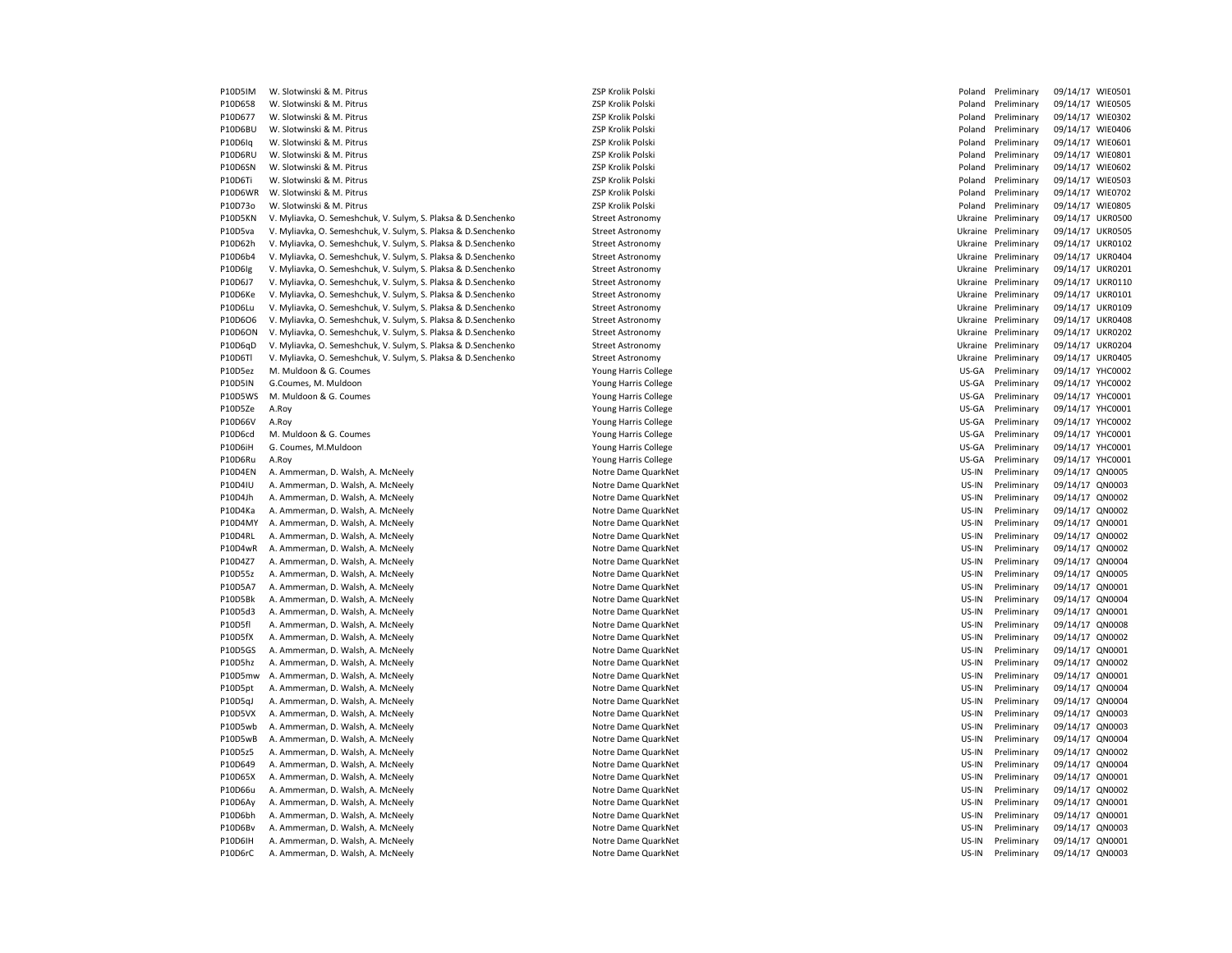P10D5IM W. Slotwinski & M. Pitrus No. 250 Krolik Polski Poland Preliminary 259 Krolik Poland Preliminary 09/14/17 WIE0501 P10D658 W. Slotwinski & M. Pitrus Channel Channel Channel Channel ZSP Krolik Polski Channel Preliminary 09/14/17 WIE0505 P10D677 W. Slotwinski & M. Pitrus 2SP Krolik Polski 2SP Krolik Polski Poland Preliminary 09/14/17 WIE0302 P10D6BU W. Slotwinski & M. Pitrus Company and Material Preliminary Company Poland Preliminary 09/14/17 WIE0406 P10D6Iq W. Slotwinski & M. Pitrus No. 250 Krolik Polski Polski Poland Preliminary 259 Krolik Poland Preliminary 09/14/17 WIE0601 P10D6RU W. Slotwinski & M. Pitrus Computer Computer Computer Computer Computer Computer Computer Computer Computer Computer Computer Computer Computer Computer Computer Computer Computer Computer Computer Computer Computer P10D6SN W. Slotwinski & M. Pitrus No. 250 Annual Media Annual Development Development Poland Preliminary 09/14/17 WIE0602 P10D6Ti W. Slotwinski & M. Pitrus No. 250 Annual Media Annual Development Development Poland Preliminary 09/14/17 WIE0503 P10D6WR W.Slotwinski & M.Pitrus No. 2001 259 Krolik Polski Poland Preliminary 259 Krolik Poland Preliminary 09/14/17 WIE0702 P10D73o W. Slotwinski & M. Pitrus ZSP Krolik Polski Poland Preliminary 09/14/17 WIE0805 P10D5KN V. Myliavka, O. Semeshchuk, V. Sulym, S. Plaksa & D.Senchenko Street Astronomy Street Astronomy Ukraine Preliminary 09/14/17 UKR0500 P10D5va V. Myliavka, O. Semeshchuk, V. Sulym, S. Plaksa & D.Senchenko Street Astronomy Street Astronomy Ukraine Preliminary 09/14/17 UKR0505 P10D62h V. Myliavka, O. Semeshchuk, V. Sulym, S. Plaksa & D.Senchenko Street Astronomy Street Astronomy Ukraine Preliminary 09/14/17 UKR0102 P10D6b4 V. Myliavka, O. Semeshchuk, V. Sulym, S. Plaksa & D.Senchenko Street Astronomy Street Astronomy Ukraine Preliminary 09/14/17 UKR0404 P10D6Ig V. Myliavka, O. Semeshchuk, V. Sulym, S. Plaksa & D.Senchenko Street Astronomy Street Astronomy Ukraine Preliminary 09/14/17 UKR0201 P10D6J7 V. Myliavka, O. Semeshchuk, V. Sulym, S. Plaksa & D.Senchenko Street Astronomy Street Astronomy Ukraine Preliminary 09/14/17 UKR0110 P10D6Ke V. Myliavka, O. Semeshchuk, V. Sulym, S. Plaksa & D.Senchenko Street Astronomy Ukraine Preliminary 09/14/17 UKR0101 P10D6Lu V. Myliavka, O. Semeshchuk, V. Sulym, S. Plaksa & D.Senchenko Street Astronomy Street Astronomy Ukraine Preliminary 09/14/17 UKR0109 P10D6O6 V. Myliavka, O. Semeshchuk, V. Sulym, S. Plaksa & D.Senchenko Street Astronomy Street Astronomy Ukraine Preliminary 09/14/17 UKR0408 P10D6ON V. Myliavka, O. Semeshchuk, V. Sulym, S. Plaksa & D.Senchenko Street Astronomy Street Astronomy Ukraine Preliminary 09/14/17 UKR0202 P10D6qD V. Myliavka, O. Semeshchuk, V. Sulym, S. Plaksa & D.Senchenko Street Astronomy Street Astronomy Ukraine Preliminary 09/14/17 UKR0204 P10D6Tl V. Myliavka, O. Semeshchuk, V. Sulym, S. Plaksa & D.Senchenko Street Astronomy Street Astronomy Ukraine Preliminary 09/14/17 UKR0405 P10D5ez M. Muldoon & G. Coumes etc. And the State of Multiple Multiple Voung Harris College entity and the US-GA Preliminary 09/14/17 YHC0002 P10D5IN G.Coumes, M. Muldoon Young Harris College US-GA Preliminary 09/14/17 YHC0002 P10D5WS M. Muldoon & G. Coumes examples and the Voung Harris College Coung Harris College and the US-GA Preliminary 09/14/17 YHC0001 P10D5Ze A.Roy 29/14/17 YHC0001 Nowell and the Young Harris College Verman and the US-GA Preliminary 09/14/17 YHC0001 P10D66V A.Roy 2012 99/14/17 YHC0002 70 102 97/14/20 Young Harris College View 2014 10:0002 P10D6cd M. Muldoon & G. Coumes examples and the Voung Harris College Coung Harris College and the US-GA Preliminary 09/14/17 YHC0001 P10D6iH G. Coumes, M.Muldoon November 2001 1992 Words Arris College Voung Harris College College Voung Harris College Voung Harris College Voung Harris College Voung Harris College Voung Harris College Voung Harris College P10D6Ru A.Roy Young Harris College US-GA Preliminary 09/14/17 YHC0001 P10D4EN A. Ammerman, D. Walsh, A. McNeely Notre Notre Dame QuarkNet Notre Dame QuarkNet Notre Dame QuarkNet Note Dame QuarkNet Note Dame QuarkNet Note Dame QuarkNet Note of North American Note of North American Note of Nor P10D4IU A. Ammerman, D. Walsh, A. McNeely Notre Notre Dame QuarkNet Notre Dame QuarkNet Note Dame QuarkNet Note Dame QuarkNet Note Dame QuarkNet Note Dame QuarkNet Note Dame QuarkNet Note Dame QuarkNet Note of North Americ P10D4Jh A. Ammerman, D. Walsh, A. McNeely Noter Noter Noter Dame QuarkNet Noter Dame Out Ammerman, 2001, 200002 P10D4Ka A. Ammerman, D. Walsh, A. McNeely Noter Noter Noter Dame QuarkNet Noter Dame Out Allem Noter Dame Out A P10D4MY A. Ammerman, D. Walsh, A. McNeely Noter Noter Dame QuarkNet Noter Dame QuarkNet Noter Dame Of Development Of Development Of Development Of Development Of Development Of Development Of Development Of Development Of P10D4RL A. Ammerman, D. Walsh, A. McNeely Noter Noter Noter Dame QuarkNet Noter Dame Of Noter Dame Of Noter Dame Of Noter Dame Of Noter Dame Of Noter Dame Of Noter Dame Of Noter Dame Of Noter Dame Of Noter Dame Of Noter Da P10D4wR A. Ammerman, D. Walsh, A. McNeely Notre Notre Dame QuarkNet Notre Dame QuarkNet Notre Dame Of All Annual Account Notre Dame QuarkNet Notre Dame QuarkNet Notre Dame Of All Account Notre Dame QuarkNet Notre Dame Of A P10D4Z7 A. Ammerman, D. Walsh, A. McNeely Notre Notre Dame QuarkNet Notre Dame QuarkNet Notre Dame Of All Annual According the US-IN Preliminary 09/14/17 QN0004 P10D55z A. Ammerman, D. Walsh, A. McNeely Notre Notre Dame QuarkNet Notre Dame QuarkNet Notre Dame QuarkNet Note Dame QuarkNet Note Dame QuarkNet Note Dame QuarkNet Note of North American Note of North American Note of Nor P10D5A7 A. Ammerman, D. Walsh, A. McNeely Notre Notre Dame QuarkNet Notre Dame QuarkNet Notre Dame QuarkNet Note Dame QuarkNet Note Dame QuarkNet Note Dame QuarkNet Note of North American Note of North American North Ameri P10D5Bk A. Ammerman, D. Walsh, A. McNeely Noter Noter Noter Dame QuarkNet Noter Dame Out American Communication Communication Communication Communication Communication Communication Communication Communication Communicatio P10D5d3 A. Ammerman, D. Walsh, A. McNeely Notre Dame QuarkNet Notre Dame QuarkNet Note Dame QuarkNet US-IN Preliminary 09/14/17 QN0001 P10D5fl A. Ammerman, D. Walsh, A. McNeely Noter Noter Noter Dame QuarkNet Noter Dame Of Noter Dame Of Noter Dame Of Noter Dame Of Noter Dame Of Noter Dame Of Noter Dame Of Noter Dame Of Noter Dame Of Noter Dame Of Noter Da P10D5fX A. Ammerman, D. Walsh, A. McNeely Noter Noter Noter Dame QuarkNet Noter Dame Of Noter Dame Of Noter Dame Of Noter Dame Of Noter Dame Of Noter Dame Of Noter Dame Of Noter Dame Of Noter Dame Of Noter Dame Of Noter Da P10D5GS A. Ammerman, D. Walsh, A. McNeely Noter Noter Dame QuarkNet Noter Dame QuarkNet Noter Dame Of Development Communication of the US-IN Preliminary 09/14/17 QN0001 P10D5hz A. Ammerman, D. Walsh, A. McNeely Notre Notre Dame QuarkNet Notre Dame QuarkNet Notre Dame Of All Annual American Notre Dame QuarkNet Notre Dame QuarkNet Notre Dame Of All Annual American Notre Dame QuarkNet Notre P10D5mw A. Ammerman, D. Walsh, A. McNeely Notre 1992 and Notre Dame QuarkNet Notre Dame Of Notre Dame Australian Notre Dame QuarkNet Noted and D. And Noted D. A. Ammerman, D. Walsh, A. McNeely P10D5pt A. Ammerman, D. Walsh, A. McNeely Notre Notre Dame QuarkNet Notre Dame QuarkNet Notre Dame QuarkNet Note Dame QuarkNet Note Dame QuarkNet Note Dame QuarkNet Note of Note Dame QuarkNet Note of Note of Note of Note 2 P10D5qJ A. Ammerman, D. Walsh, A. McNeely Notre Notre Dame QuarkNet Notre Dame QuarkNet Notre Dame QuarkNet Note Dame QuarkNet Note Dame QuarkNet Note Dame QuarkNet Note of Note Dame QuarkNet Note of Note of Note of Note 2 P10D5VX A. Ammerman, D. Walsh, A. McNeely Notre Dame QuarkNet Notre Dame QuarkNet Note Dame QuarkNet Note Dame QuarkNet Note Dame QuarkNet Note Dame QuarkNet Note Dame QuarkNet Note Dame QuarkNet Note Dame QuarkNet Note Da P10D5wb A. Ammerman, D. Walsh, A. McNeely Notre Dame QuarkNet Notre Dame QuarkNet Note Dame QuarkNet Note Dame QuarkNet Note Dame QuarkNet Note Dame QuarkNet Note Dame QuarkNet Note Dame QuarkNet Note Dame QuarkNet Note Da P10D5wB A. Ammerman, D. Walsh, A. McNeely Noter Noter Noter Dame QuarkNet Noter Dame Of Noter Dame Of Noter Dame Of Noter Dame Of Noter Dame Of Noter Dame Of Noter Dame Of Noter Dame Of Noter Dame Of Noter Dame Of Noter Da P10D5z5 A. Ammerman, D. Walsh, A. McNeely Notre Dame QuarkNet Notre Dame QuarkNet Noter Dame QuarkNet Noter Dame QuarkNet Noter Dame QuarkNet Noter Dame QuarkNet Noter Dame Australian US-IN Preliminary 09/14/17 QN0002 P10D649 A. Ammerman, D. Walsh, A. McNeely Notre Notre Dame QuarkNet Notre Dame QuarkNet Notre Dame Of Allen Notre Dame QuarkNet Note Dame QuarkNet Note Dame QuarkNet Note of North American Note of North American North Amer P10D65X A. Ammerman, D. Walsh, A. McNeely Notre Notre Dame QuarkNet Notre Dame QuarkNet Notre Dame Of All Annual According the US-IN Preliminary 09/14/17 QN0001 P10D66u A. Ammerman, D. Walsh, A. McNeely Notre Notre Dame QuarkNet Notre Dame QuarkNet Notre Dame QuarkNet Note Dame QuarkNet Note Dame QuarkNet Note Dame QuarkNet Note of North American Note of North American Note of Nor P10D6Ay A. Ammerman, D. Walsh, A. McNeely Notre 1992 Service Dame QuarkNet Notre Dame QuarkNet Notre Dame QuarkNet Notre Dame QuarkNet Noted and D. Service Dame Of the US-IN Preliminary 09/14/17 QN0001 P10D6bh A. Ammerman, D. Walsh, A. McNeely Notre Dame QuarkNet Notre Dame QuarkNet Note Dame QuarkNet Note Dame QuarkNet Note Dame QuarkNet Note Dame QuarkNet Note Dame QuarkNet Note Dame QuarkNet Note Dame QuarkNet Note Da P10D6Bv A. Ammerman, D. Walsh, A. McNeely Noter Noter Noter Dame QuarkNet Noter Dame Out Ammerman, 209/14/17 QN0003 P10D6IH A. Ammerman, D. Walsh, A. McNeely Noter Noter Noter Dame QuarkNet Noter Dame Of Noter Dame Of Noter Dame Of Noter Dame Of Noter Dame Of Noter Dame Of Noter Dame Of Noter Dame Of Noter Dame Of Noter Dame Of Noter Da P10D6rC A. Ammerman, D. Walsh, A. McNeely Noter Noter Noter Dame QuarkNet Noter Dame Of Noter Dame Of Noter Dame Of Noter Dame Of Noter Dame Of Noter Dame Of Noter Dame Of Noter Dame Of Noter Dame Of Noter Dame Of Noter Da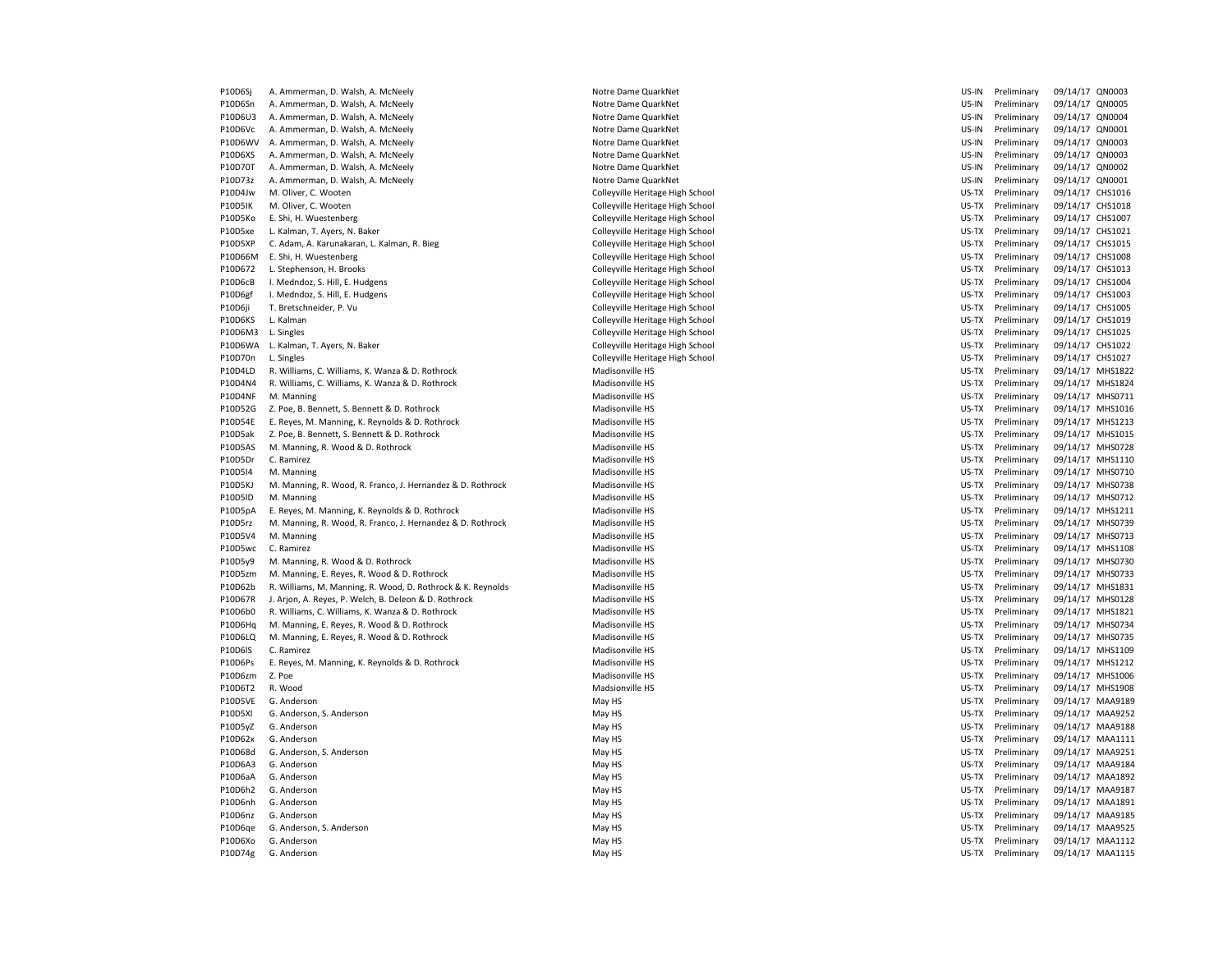| P10D6Sj        | A. Ammerman, D. Walsh, A. McNeely                           | Notre Dame QuarkNet              | US-IN | Preliminary | 09/14/17 QN0003  |                  |
|----------------|-------------------------------------------------------------|----------------------------------|-------|-------------|------------------|------------------|
| P10D6Sn        | A. Ammerman, D. Walsh, A. McNeely                           | Notre Dame QuarkNet              | US-IN | Preliminary | 09/14/17 QN0005  |                  |
| P10D6U3        | A. Ammerman, D. Walsh, A. McNeely                           | Notre Dame QuarkNet              | US-IN | Preliminary | 09/14/17 QN0004  |                  |
| P10D6Vc        | A. Ammerman, D. Walsh, A. McNeely                           | Notre Dame QuarkNet              | US-IN | Preliminary | 09/14/17 QN0001  |                  |
| P10D6WV        | A. Ammerman, D. Walsh, A. McNeely                           | Notre Dame QuarkNet              | US-IN | Preliminary | 09/14/17 QN0003  |                  |
| P10D6XS        | A. Ammerman, D. Walsh, A. McNeely                           | Notre Dame QuarkNet              | US-IN | Preliminary | 09/14/17 QN0003  |                  |
| P10D70T        | A. Ammerman, D. Walsh, A. McNeely                           | Notre Dame QuarkNet              | US-IN | Preliminary | 09/14/17 QN0002  |                  |
| P10D73z        | A. Ammerman, D. Walsh, A. McNeely                           | Notre Dame QuarkNet              | US-IN | Preliminary | 09/14/17 QN0001  |                  |
| P10D4Jw        | M. Oliver, C. Wooten                                        | Colleyville Heritage High School | US-TX | Preliminary | 09/14/17 CHS1016 |                  |
| <b>P10D5IK</b> | M. Oliver, C. Wooten                                        | Colleyville Heritage High School | US-TX | Preliminary | 09/14/17 CHS1018 |                  |
| P10D5Ko        | E. Shi, H. Wuestenberg                                      | Colleyville Heritage High School | US-TX | Preliminary | 09/14/17 CHS1007 |                  |
| P10D5xe        | L. Kalman, T. Ayers, N. Baker                               | Colleyville Heritage High School | US-TX | Preliminary | 09/14/17 CHS1021 |                  |
| P10D5XP        | C. Adam, A. Karunakaran, L. Kalman, R. Bieg                 | Colleyville Heritage High School | US-TX | Preliminary | 09/14/17 CHS1015 |                  |
| P10D66M        | E. Shi, H. Wuestenberg                                      | Colleyville Heritage High School | US-TX | Preliminary | 09/14/17 CHS1008 |                  |
| P10D672        | L. Stephenson, H. Brooks                                    |                                  | US-TX | Preliminary | 09/14/17 CHS1013 |                  |
|                |                                                             | Colleyville Heritage High School |       |             |                  |                  |
| P10D6cB        | I. Medndoz, S. Hill, E. Hudgens                             | Colleyville Heritage High School | US-TX | Preliminary | 09/14/17 CHS1004 |                  |
| P10D6gf        | I. Medndoz, S. Hill, E. Hudgens                             | Colleyville Heritage High School | US-TX | Preliminary | 09/14/17 CHS1003 |                  |
| P10D6ji        | T. Bretschneider, P. Vu                                     | Colleyville Heritage High School | US-TX | Preliminary | 09/14/17 CHS1005 |                  |
| P10D6KS        | L. Kalman                                                   | Colleyville Heritage High School | US-TX | Preliminary | 09/14/17 CHS1019 |                  |
| P10D6M3        | L. Singles                                                  | Colleyville Heritage High School | US-TX | Preliminary | 09/14/17 CHS1025 |                  |
| P10D6WA        | L. Kalman, T. Ayers, N. Baker                               | Colleyville Heritage High School | US-TX | Preliminary | 09/14/17 CHS1022 |                  |
| P10D70n        | L. Singles                                                  | Colleyville Heritage High School | US-TX | Preliminary | 09/14/17 CHS1027 |                  |
| P10D4LD        | R. Williams, C. Williams, K. Wanza & D. Rothrock            | Madisonville HS                  | US-TX | Preliminary |                  | 09/14/17 MHS1822 |
| P10D4N4        | R. Williams, C. Williams, K. Wanza & D. Rothrock            | Madisonville HS                  | US-TX | Preliminary |                  | 09/14/17 MHS1824 |
| P10D4NF        | M. Manning                                                  | Madisonville HS                  | US-TX | Preliminary |                  | 09/14/17 MHS0711 |
| P10D52G        | Z. Poe, B. Bennett, S. Bennett & D. Rothrock                | Madisonville HS                  | US-TX | Preliminary |                  | 09/14/17 MHS1016 |
| P10D54E        | E. Reyes, M. Manning, K. Reynolds & D. Rothrock             | Madisonville HS                  | US-TX | Preliminary | 09/14/17 MHS1213 |                  |
| P10D5ak        | Z. Poe, B. Bennett, S. Bennett & D. Rothrock                | Madisonville HS                  | US-TX | Preliminary |                  | 09/14/17 MHS1015 |
| P10D5AS        | M. Manning, R. Wood & D. Rothrock                           | Madisonville HS                  | US-TX | Preliminary |                  | 09/14/17 MHS0728 |
| P10D5Dr        | C. Ramirez                                                  | Madisonville HS                  | US-TX | Preliminary |                  | 09/14/17 MHS1110 |
| P10D5I4        | M. Manning                                                  | Madisonville HS                  | US-TX | Preliminary |                  | 09/14/17 MHS0710 |
| P10D5KJ        | M. Manning, R. Wood, R. Franco, J. Hernandez & D. Rothrock  | Madisonville HS                  | US-TX | Preliminary |                  | 09/14/17 MHS0738 |
| P10D5ID        | M. Manning                                                  | Madisonville HS                  | US-TX | Preliminary |                  | 09/14/17 MHS0712 |
| P10D5pA        | E. Reyes, M. Manning, K. Reynolds & D. Rothrock             | Madisonville HS                  | US-TX | Preliminary |                  | 09/14/17 MHS1211 |
| P10D5rz        | M. Manning, R. Wood, R. Franco, J. Hernandez & D. Rothrock  | Madisonville HS                  | US-TX | Preliminary |                  | 09/14/17 MHS0739 |
| P10D5V4        | M. Manning                                                  | Madisonville HS                  | US-TX | Preliminary |                  | 09/14/17 MHS0713 |
| P10D5wc        | C. Ramirez                                                  | Madisonville HS                  | US-TX | Preliminary |                  | 09/14/17 MHS1108 |
| P10D5y9        | M. Manning, R. Wood & D. Rothrock                           | Madisonville HS                  | US-TX | Preliminary |                  | 09/14/17 MHS0730 |
|                |                                                             |                                  |       |             |                  |                  |
| P10D5zm        | M. Manning, E. Reyes, R. Wood & D. Rothrock                 | Madisonville HS                  | US-TX | Preliminary |                  | 09/14/17 MHS0733 |
| P10D62b        | R. Williams, M. Manning, R. Wood, D. Rothrock & K. Reynolds | Madisonville HS                  | US-TX | Preliminary |                  | 09/14/17 MHS1831 |
| P10D67R        | J. Arjon, A. Reyes, P. Welch, B. Deleon & D. Rothrock       | Madisonville HS                  | US-TX | Preliminary |                  | 09/14/17 MHS0128 |
| P10D6b0        | R. Williams, C. Williams, K. Wanza & D. Rothrock            | Madisonville HS                  | US-TX | Preliminary |                  | 09/14/17 MHS1821 |
| P10D6Hq        | M. Manning, E. Reyes, R. Wood & D. Rothrock                 | Madisonville HS                  | US-TX | Preliminary |                  | 09/14/17 MHS0734 |
| P10D6LQ        | M. Manning, E. Reyes, R. Wood & D. Rothrock                 | Madisonville HS                  | US-TX | Preliminary |                  | 09/14/17 MHS0735 |
| P10D6IS        | C. Ramirez                                                  | Madisonville HS                  | US-TX | Preliminary |                  | 09/14/17 MHS1109 |
| P10D6Ps        | E. Reyes, M. Manning, K. Reynolds & D. Rothrock             | Madisonville HS                  | US-TX | Preliminary |                  | 09/14/17 MHS1212 |
| P10D6zm        | Z. Poe                                                      | Madisonville HS                  | US-TX | Preliminary |                  | 09/14/17 MHS1006 |
| P10D6T2        | R. Wood                                                     | Madsionville HS                  | US-TX | Preliminary |                  | 09/14/17 MHS1908 |
| P10D5VE        | G. Anderson                                                 | May HS                           | US-TX | Preliminary | 09/14/17 MAA9189 |                  |
| P10D5XI        | G. Anderson, S. Anderson                                    | May HS                           | US-TX | Preliminary |                  | 09/14/17 MAA9252 |
| P10D5yZ        | G. Anderson                                                 | May HS                           | US-TX | Preliminary |                  | 09/14/17 MAA9188 |
| P10D62x        | G. Anderson                                                 | May HS                           | US-TX | Preliminary |                  | 09/14/17 MAA1111 |
| P10D68d        | G. Anderson, S. Anderson                                    | May HS                           | US-TX | Preliminary |                  | 09/14/17 MAA9251 |
| P10D6A3        | G. Anderson                                                 | May HS                           | US-TX | Preliminary |                  | 09/14/17 MAA9184 |
| P10D6aA        | G. Anderson                                                 | May HS                           | US-TX | Preliminary |                  | 09/14/17 MAA1892 |
| P10D6h2        | G. Anderson                                                 | May HS                           | US-TX | Preliminary |                  | 09/14/17 MAA9187 |
| P10D6nh        | G. Anderson                                                 | May HS                           | US-TX | Preliminary |                  | 09/14/17 MAA1891 |
| P10D6nz        | G. Anderson                                                 | May HS                           | US-TX | Preliminary |                  | 09/14/17 MAA9185 |
| P10D6ge        | G. Anderson, S. Anderson                                    |                                  | US-TX | Preliminary |                  | 09/14/17 MAA9525 |
| P10D6Xo        | G. Anderson                                                 | May HS<br>May HS                 | US-TX | Preliminary |                  | 09/14/17 MAA1112 |
|                |                                                             |                                  |       |             |                  |                  |
| P10D74g        | G. Anderson                                                 | May HS                           | US-TX | Preliminary |                  | 09/14/17 MAA1115 |

| US-IN | Preliminary | 09/14/1/ | <b>QNUUU3</b> |
|-------|-------------|----------|---------------|
| US-IN | Preliminary | 09/14/17 | QN0005        |
| US-IN | Preliminary | 09/14/17 | QN0004        |
| US-IN | Preliminary | 09/14/17 | QN0001        |
| US-IN | Preliminary | 09/14/17 | QN0003        |
| US-IN | Preliminary | 09/14/17 | QN0003        |
| US-IN | Preliminary | 09/14/17 | QN0002        |
| US-IN | Preliminary | 09/14/17 | QN0001        |
| US-TX | Preliminary | 09/14/17 | CHS1016       |
| US-TX | Preliminary | 09/14/17 | CHS1018       |
| US-TX | Preliminary | 09/14/17 | CHS1007       |
| US-TX | Preliminary | 09/14/17 | CHS1021       |
| US-TX | Preliminary | 09/14/17 | CHS1015       |
| US-TX | Preliminary | 09/14/17 | CHS1008       |
| US-TX | Preliminary | 09/14/17 | CHS1013       |
|       |             |          |               |
| US-TX | Preliminary | 09/14/17 | CHS1004       |
| US-TX | Preliminary | 09/14/17 | CHS1003       |
| US-TX | Preliminary | 09/14/17 | CHS1005       |
| US-TX | Preliminary | 09/14/17 | CHS1019       |
| US-TX | Preliminary | 09/14/17 | CHS1025       |
| US-TX | Preliminary | 09/14/17 | CHS1022       |
| US-TX | Preliminary | 09/14/17 | CHS1027       |
| US-TX | Preliminary | 09/14/17 | MHS1822       |
| US-TX | Preliminary | 09/14/17 | MHS1824       |
| US-TX | Preliminary | 09/14/17 | MHS0711       |
| US-TX | Preliminary | 09/14/17 | MHS1016       |
| US-TX | Preliminary | 09/14/17 | MHS1213       |
| US-TX | Preliminary | 09/14/17 | MHS1015       |
| US-TX | Preliminary | 09/14/17 | MHS0728       |
| US-TX | Preliminary | 09/14/17 | MHS1110       |
| US-TX | Preliminary | 09/14/17 | MHS0710       |
| US-TX | Preliminary | 09/14/17 | MHS0738       |
| US-TX | Preliminary | 09/14/17 | MHS0712       |
| US-TX | Preliminary | 09/14/17 | MHS1211       |
| US-TX | Preliminary | 09/14/17 | MHS0739       |
| US-TX | Preliminary | 09/14/17 | MHS0713       |
| US-TX | Preliminary | 09/14/17 | MHS1108       |
|       |             |          |               |
| US-TX | Preliminary | 09/14/17 | MHS0730       |
| US-TX | Preliminary | 09/14/17 | MHS0733       |
| US-TX | Preliminary | 09/14/17 | MHS1831       |
| US-TX | Preliminary | 09/14/17 | MHS0128       |
| US-TX | Preliminary | 09/14/17 | MHS1821       |
| US-TX | Preliminary | 09/14/17 | MHS0734       |
| US-TX | Preliminary | 09/14/17 | MHS0735       |
| US-TX | Preliminary | 09/14/17 | MHS1109       |
| US-TX | Preliminary | 09/14/17 | MHS1212       |
| US-TX | Preliminary | 09/14/17 | MHS1006       |
| US-TX | Preliminary | 09/14/17 | MHS1908       |
| US-TX | Preliminary | 09/14/17 | MAA9189       |
| US-TX | Preliminary | 09/14/17 | MAA9252       |
| US-TX | Preliminary | 09/14/17 | MAA9188       |
| US-TX | Preliminary | 09/14/17 | MAA1111       |
| US-TX | Preliminary | 09/14/17 | MAA9251       |
| US-TX | Preliminary | 09/14/17 | MAA9184       |
| US-TX | Preliminary | 09/14/17 | MAA1892       |
| US-TX | Preliminary | 09/14/17 | MAA9187       |
| US-TX | Preliminary | 09/14/17 | MAA1891       |
|       |             |          |               |
| US-TX | Preliminary | 09/14/17 | MAA9185       |
| US-TX | Preliminary | 09/14/17 | MAA9525       |
| US-TX | Preliminary | 09/14/17 | MAA1112       |
| US-TX | Preliminary | 09/14/17 | MAA1115       |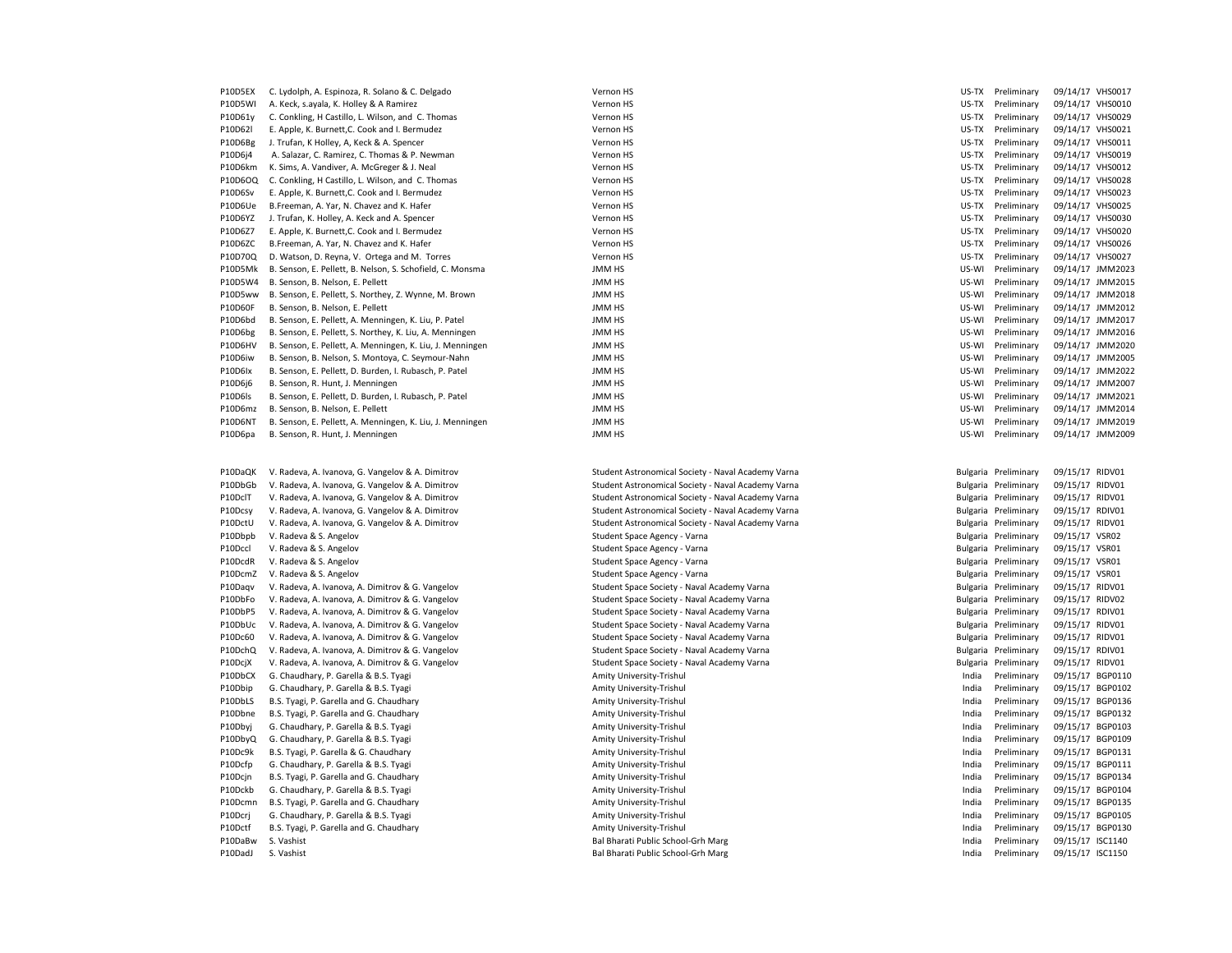| P10D5EX        | C. Lydolph, A. Espinoza, R. Solano & C. Delgado           | Vernon HS     | US-TX | Preliminary | 09/14/17 VHS0017 |  |
|----------------|-----------------------------------------------------------|---------------|-------|-------------|------------------|--|
| P10D5WI        | A. Keck, s.ayala, K. Holley & A Ramirez                   | Vernon HS     | US-TX | Preliminary | 09/14/17 VHS0010 |  |
| P10D61y        | C. Conkling, H Castillo, L. Wilson, and C. Thomas         | Vernon HS     | US-TX | Preliminary | 09/14/17 VHS0029 |  |
| P10D62l        | E. Apple, K. Burnett, C. Cook and I. Bermudez             | Vernon HS     | US-TX | Preliminary | 09/14/17 VHS0021 |  |
| P10D6Bg        | J. Trufan, K Holley, A, Keck & A. Spencer                 | Vernon HS     | US-TX | Preliminary | 09/14/17 VHS0011 |  |
| P10D6j4        | A. Salazar, C. Ramirez, C. Thomas & P. Newman             | Vernon HS     | US-TX | Preliminary | 09/14/17 VHS0019 |  |
| P10D6km        | K. Sims, A. Vandiver, A. McGreger & J. Neal               | Vernon HS     | US-TX | Preliminary | 09/14/17 VHS0012 |  |
| P10D6OQ        | C. Conkling, H Castillo, L. Wilson, and C. Thomas         | Vernon HS     | US-TX | Preliminary | 09/14/17 VHS0028 |  |
| P10D6Sv        | E. Apple, K. Burnett, C. Cook and I. Bermudez             | Vernon HS     | US-TX | Preliminary | 09/14/17 VHS0023 |  |
| P10D6Ue        | B.Freeman, A. Yar, N. Chavez and K. Hafer                 | Vernon HS     | US-TX | Preliminary | 09/14/17 VHS0025 |  |
| P10D6YZ        | J. Trufan, K. Holley, A. Keck and A. Spencer              | Vernon HS     | US-TX | Preliminary | 09/14/17 VHS0030 |  |
| P10D6Z7        | E. Apple, K. Burnett, C. Cook and I. Bermudez             | Vernon HS     | US-TX | Preliminary | 09/14/17 VHS0020 |  |
| P10D6ZC        | B.Freeman, A. Yar, N. Chavez and K. Hafer                 | Vernon HS     | US-TX | Preliminary | 09/14/17 VHS0026 |  |
| P10D70Q        | D. Watson, D. Reyna, V. Ortega and M. Torres              | Vernon HS     | US-TX | Preliminary | 09/14/17 VHS0027 |  |
| P10D5Mk        | B. Senson, E. Pellett, B. Nelson, S. Schofield, C. Monsma | JMM HS        | US-WI | Preliminary | 09/14/17 JMM2023 |  |
| P10D5W4        | B. Senson, B. Nelson, E. Pellett                          | <b>JMM HS</b> | US-WI | Preliminary | 09/14/17 JMM2015 |  |
| P10D5ww        | B. Senson, E. Pellett, S. Northey, Z. Wynne, M. Brown     | JMM HS        | US-WI | Preliminary | 09/14/17 JMM2018 |  |
| <b>P10D60F</b> | B. Senson, B. Nelson, E. Pellett                          | JMM HS        | US-WI | Preliminary | 09/14/17 JMM2012 |  |
| P10D6bd        | B. Senson, E. Pellett, A. Menningen, K. Liu, P. Patel     | <b>JMM HS</b> | US-WI | Preliminary | 09/14/17 JMM2017 |  |
| P10D6bg        | B. Senson, E. Pellett, S. Northey, K. Liu, A. Menningen   | <b>JMM HS</b> | US-WI | Preliminary | 09/14/17 JMM2016 |  |
| P10D6HV        | B. Senson, E. Pellett, A. Menningen, K. Liu, J. Menningen | <b>JMM HS</b> | US-WI | Preliminary | 09/14/17 JMM2020 |  |
| P10D6iw        | B. Senson, B. Nelson, S. Montoya, C. Seymour-Nahn         | <b>JMM HS</b> | US-WI | Preliminary | 09/14/17 JMM2005 |  |
| P10D6lx        | B. Senson, E. Pellett, D. Burden, I. Rubasch, P. Patel    | <b>JMM HS</b> | US-WI | Preliminary | 09/14/17 JMM2022 |  |
| P10D6j6        | B. Senson, R. Hunt, J. Menningen                          | <b>JMM HS</b> | US-WI | Preliminary | 09/14/17 JMM2007 |  |
| P10D6ls        | B. Senson, E. Pellett, D. Burden, I. Rubasch, P. Patel    | <b>JMM HS</b> | US-WI | Preliminary | 09/14/17 JMM2021 |  |
| P10D6mz        | B. Senson, B. Nelson, E. Pellett                          | <b>JMM HS</b> | US-WI | Preliminary | 09/14/17 JMM2014 |  |
| <b>P10D6NT</b> | B. Senson, E. Pellett, A. Menningen, K. Liu, J. Menningen | <b>JMM HS</b> | US-WI | Preliminary | 09/14/17 JMM2019 |  |
| P10D6pa        | B. Senson, R. Hunt, J. Menningen                          | JMM HS        | US-WI | Preliminary | 09/14/17 JMM2009 |  |

P10DbGb V. Radeva, A. Ivanova, G. Vangelov & A. Dimitrov Student Astronomical Society - Naval Academy Varna Bulgaria Preliminary Osman Bulgaria Preliminary Osman Bulgaria Preliminary Osman Bulgaria Preliminary 09/17 Ridden P10DclT V. Radeva, A. Ivanova, G. Vangelov & A. Dimitrov Student Astronomical Society - Naval Academy Varna Bulgaria Preliminary 09/17 P10Dcsy V. Radeva, A. Ivanova, G. Vangelov & A. Dimitrov Student Astronomical Society - Naval Academy Varna Bulgaria Preliminary 09/17 P10DctU V. Radeva, A. Ivanova, G. Vangelov & A. Dimitrov Student Astronomical Society - Naval Academy Varna Bulgaria Preliminary 09/17 P10Dbpb V. Radeva & S. Angelov Student Space Agency - Varna Bulgaria Preliminary of Student Space Agency - Varna P10Dccl V. Radeva & S. Angelov Student Space Agency - Varna Bulgaria Preliminary of Student Space Agency - Varna P10DcdR V. Radeva & S. Angelov Student Space Agency - Varna Bulgaria Preliminary of Student Space Agency - Varna P10DcmZ V. Radeva & S. Angelov Student Space Agency - Varna Bulgaria Preliminary 09/15/17 VSR017 Varna Bulgari P10Daqv V. Radeva, A. Ivanova, A. Dimitrov & G. Vangelov Student Space Society - Naval Academy Varna Bulgaria P P10DbFo V. Radeva, A. Ivanova, A. Dimitrov & G. Vangelov Student Space Society - Naval Academy Varna P10DbP5 V. Radeva, A. Ivanova, A. Dimitrov & G. Vangelov Student Space Society - Naval Academy Varna P10DbUc V. Radeva, A. Ivanova, A. Dimitrov & G. Vangelov Student Space Society - Naval Academy Varna P10Dc60 V. Radeva, A. Ivanova, A. Dimitrov & G. Vangelov Student Space Society - Naval Academy Varna P10DchQ V. Radeva, A. Ivanova, A. Dimitrov & G. Vangelov Student Space Society - Naval Academy Varna P10DcjX V. Radeva, A. Ivanova, A. Dimitrov & G. Vangelov Student Space Society - Naval Academy Varna P10DbCX G. Chaudhary, P. Garella & B.S. Tyagi Amity University-Trishul India Preliminary Preliminary 09/15/17 P10Dbip G. Chaudhary, P. Garella & B.S. Tyagi Amity University-Trishul India Preliminary Preliminary 09/15/17 P10DbLS B.S. Tyagi, P. Garella and G. Chaudhary Amity University-Trishul India Preliminary Amity University-Trishul P10Dbne B.S. Tyagi, P. Garella and G. Chaudhary Amity University-Trishul India Preliminary Amity University-Trishul P10Dbyj G. Chaudhary, P. Garella & B.S. Tyagi Amity University-Trishul India Preliminary Preliminary of the li P10DbyQ G. Chaudhary, P. Garella & B.S. Tyagi Amity University-Trishul India Preliminary Present Amity University-Trishul P10Dc9k B.S. Tyagi, P. Garella & G. Chaudhary Amity University-Trishul India Preliminary Amity University-Trishul P10Dcfp G. Chaudhary, P. Garella & B.S. Tyagi Amity University-Trishul India Preliminary Present Amity University-Trishul P10Dcjn B.S. Tyagi, P. Garella and G. Chaudhary Amity University-Trishul India Preliminary Amity University-Trishul P10Dckb G. Chaudhary, P. Garella & B.S. Tyagi Amity University-Trishul India Preliminary Preliminary 09/15/17 P10Dcmn B.S. Tyagi, P. Garella and G. Chaudhary Amity University-Trishul India Preliminary Amity University-Trishul P10Dcrj G. Chaudhary, P. Garella & B.S. Tyagi Amity University-Trishul India Preliminary Preliminary 09/15/17 P10Dctf B.S. Tyagi, P. Garella and G. Chaudhary **Amity University-Trishul India Preliminary Amity University-Trishul India Preliminary Amity University-Trishul India Preliminary Amity University-Trishul India Preliminary 1** P10DadJ S. Vashist examples the state of the State Bal Bharati Public School-Grh Marg india Preliminary 09/15/17 ISC1150

P10DaQK V. Radeva, A. Ivanova, G. Vangelov & A. Dimitrov Student Astronomical Society - Naval Academy Varna Bulgaria Preliminary 09/17 Bal Bharati Public School-Grh Marg

| US-TX           | Preliminary | 09/14/17 | <b>VHS0010</b> |
|-----------------|-------------|----------|----------------|
| US-TX           | Preliminary | 09/14/17 | <b>VHS0029</b> |
| US-TX           | Preliminary | 09/14/17 | <b>VHS0021</b> |
| US-TX           | Preliminary | 09/14/17 | VHS0011        |
| US-TX           | Preliminary | 09/14/17 | <b>VHS0019</b> |
| US-TX           | Preliminary | 09/14/17 | <b>VHS0012</b> |
| US-TX           | Preliminary | 09/14/17 | <b>VHS0028</b> |
| US-TX           | Preliminary | 09/14/17 | <b>VHS0023</b> |
| US-TX           | Preliminary | 09/14/17 | <b>VHS0025</b> |
| US-TX           | Preliminary | 09/14/17 | <b>VHS0030</b> |
| US-TX           | Preliminary | 09/14/17 | <b>VHS0020</b> |
| US-TX           | Preliminary | 09/14/17 | <b>VHS0026</b> |
| US-TX           | Preliminary | 09/14/17 | <b>VHS0027</b> |
| US-WI           | Preliminary | 09/14/17 | JMM2023        |
| US-WI           | Preliminary | 09/14/17 | JMM201!        |
| US-WI           | Preliminary | 09/14/17 | JMM2018        |
| US-WI           | Preliminary | 09/14/17 | JMM201.        |
| US-WI           | Preliminary | 09/14/17 | JMM201         |
| US-WI           | Preliminary | 09/14/17 | JMM201         |
| US-WI           | Preliminary | 09/14/17 | JMM2020        |
| US-WI           | Preliminary | 09/14/17 | JMM200!        |
| US-WI           | Preliminary | 09/14/17 | JMM2022        |
| US-WI           | Preliminary | 09/14/17 | JMM2007        |
| US-WI           | Preliminary | 09/14/17 | JMM202:        |
| US-WI           | Preliminary | 09/14/17 | JMM2014        |
| US-WI           | Preliminary | 09/14/17 | JMM2019        |
| US-WI           | Preliminary | 09/14/17 | JMM2009        |
|                 |             |          |                |
|                 |             |          |                |
| Bulgaria        | Preliminary | 09/15/17 | RIDV01         |
| Bulgaria        | Preliminary | 09/15/17 | RIDV01         |
| Bulgaria        | Preliminary | 09/15/17 | RIDV01         |
| Bulgaria        | Preliminary | 09/15/17 | RDIV01         |
| Bulgaria        | Preliminary | 09/15/17 | RIDV01         |
| Bulgaria        | Preliminary | 09/15/17 | VSR02          |
| Bulgaria        | Preliminary | 09/15/17 | VSR01          |
| Bulgaria        | Preliminary | 09/15/17 | VSR01          |
| Bulgaria        | Preliminary | 09/15/17 | VSR01          |
| Bulgaria        | Preliminary | 09/15/17 | RIDV01         |
| Bulgaria        | Preliminary | 09/15/17 | RIDV02         |
| <b>Bulgaria</b> | Preliminary | 09/15/17 | RDIV01         |
| Bulgaria        | Preliminary | 09/15/17 | RIDV01         |
| Bulgaria        | Preliminary | 09/15/17 | RIDV01         |
| <b>Bulgaria</b> | Preliminary | 09/15/17 | RDIV01         |
| <b>Bulgaria</b> | Preliminary | 09/15/17 | RIDV01         |
| India           | Preliminary | 09/15/17 | BGP0110        |
| India           | Preliminary | 09/15/17 | BGP0102        |
| India           | Preliminary | 09/15/17 | BGP0136        |
| India           | Preliminary | 09/15/17 | BGP0132        |
| India           | Preliminary | 09/15/17 | BGP0103        |
| India           | Preliminary | 09/15/17 | BGP0109        |
| India           | Preliminary | 09/15/17 | BGP0131        |
| India           | Preliminary | 09/15/17 | BGP0111        |
| India           | Preliminary | 09/15/17 | BGP0134        |
| India           | Preliminary | 09/15/17 | BGP0104        |
| India           | Preliminary | 09/15/17 | BGP0135        |
| India           | Preliminary | 09/15/17 | BGP0105        |
| India           | Preliminary | 09/15/17 | BGP0130        |
| India           | Preliminary | 09/15/17 | <b>ISC1140</b> |
|                 |             |          |                |